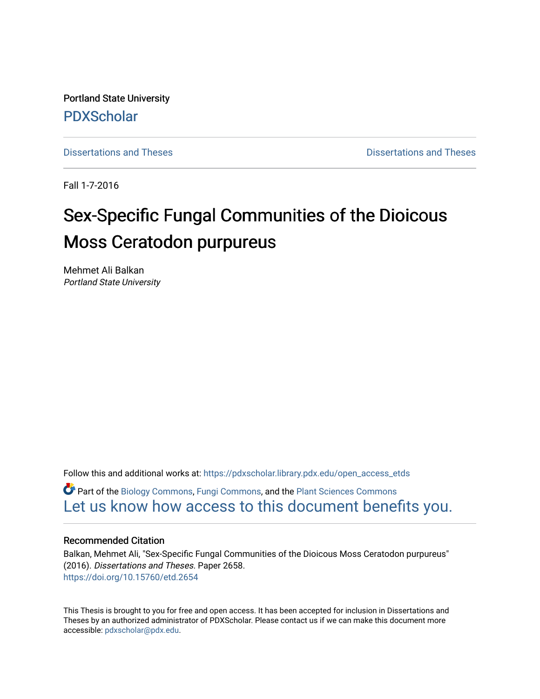Portland State University [PDXScholar](https://pdxscholar.library.pdx.edu/)

[Dissertations and Theses](https://pdxscholar.library.pdx.edu/open_access_etds) **Dissertations** and Theses **Dissertations and Theses** 

Fall 1-7-2016

# Sex-Specific Fungal Communities of the Dioicous Moss Ceratodon purpureus

Mehmet Ali Balkan Portland State University

Follow this and additional works at: [https://pdxscholar.library.pdx.edu/open\\_access\\_etds](https://pdxscholar.library.pdx.edu/open_access_etds?utm_source=pdxscholar.library.pdx.edu%2Fopen_access_etds%2F2658&utm_medium=PDF&utm_campaign=PDFCoverPages)

Part of the [Biology Commons,](http://network.bepress.com/hgg/discipline/41?utm_source=pdxscholar.library.pdx.edu%2Fopen_access_etds%2F2658&utm_medium=PDF&utm_campaign=PDFCoverPages) [Fungi Commons](http://network.bepress.com/hgg/discipline/962?utm_source=pdxscholar.library.pdx.edu%2Fopen_access_etds%2F2658&utm_medium=PDF&utm_campaign=PDFCoverPages), and the [Plant Sciences Commons](http://network.bepress.com/hgg/discipline/102?utm_source=pdxscholar.library.pdx.edu%2Fopen_access_etds%2F2658&utm_medium=PDF&utm_campaign=PDFCoverPages) [Let us know how access to this document benefits you.](http://library.pdx.edu/services/pdxscholar-services/pdxscholar-feedback/) 

#### Recommended Citation

Balkan, Mehmet Ali, "Sex-Specific Fungal Communities of the Dioicous Moss Ceratodon purpureus" (2016). Dissertations and Theses. Paper 2658. <https://doi.org/10.15760/etd.2654>

This Thesis is brought to you for free and open access. It has been accepted for inclusion in Dissertations and Theses by an authorized administrator of PDXScholar. Please contact us if we can make this document more accessible: [pdxscholar@pdx.edu.](mailto:pdxscholar@pdx.edu)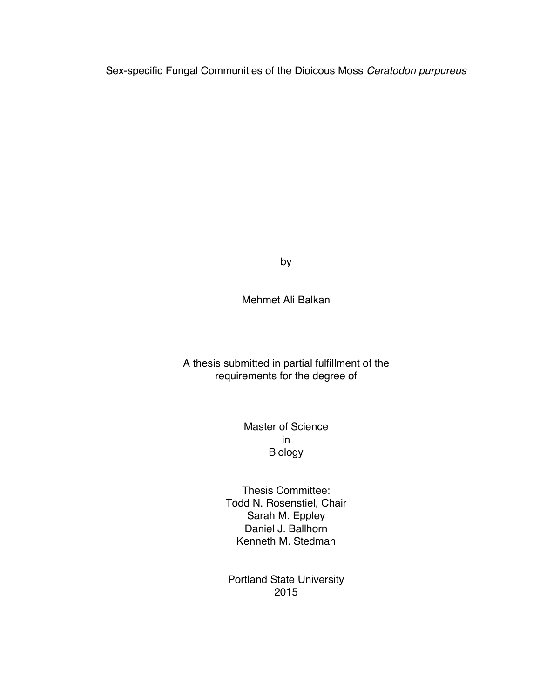Sex-specific Fungal Communities of the Dioicous Moss *Ceratodon purpureus*

by

Mehmet Ali Balkan

A thesis submitted in partial fulfillment of the requirements for the degree of

> Master of Science in Biology

Thesis Committee: Todd N. Rosenstiel, Chair Sarah M. Eppley Daniel J. Ballhorn Kenneth M. Stedman

Portland State University 2015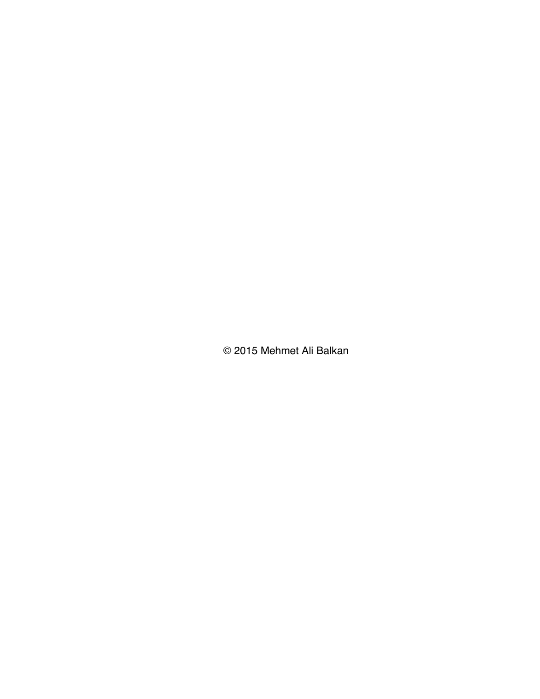© 2015 Mehmet Ali Balkan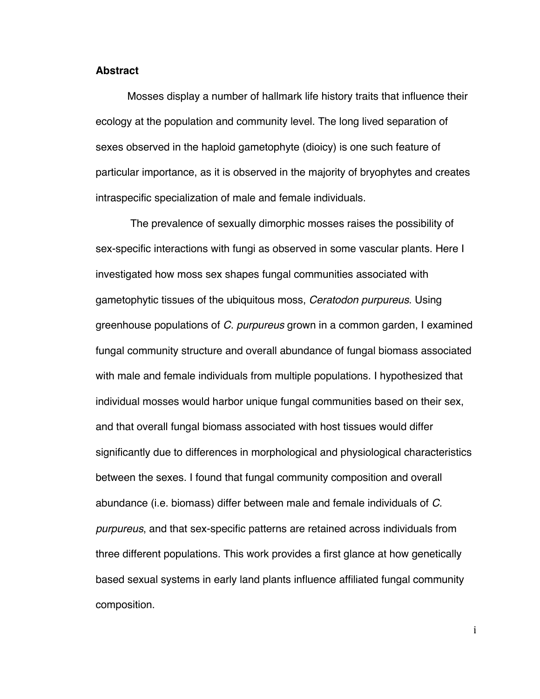#### **Abstract**

Mosses display a number of hallmark life history traits that influence their ecology at the population and community level. The long lived separation of sexes observed in the haploid gametophyte (dioicy) is one such feature of particular importance, as it is observed in the majority of bryophytes and creates intraspecific specialization of male and female individuals.

The prevalence of sexually dimorphic mosses raises the possibility of sex-specific interactions with fungi as observed in some vascular plants. Here I investigated how moss sex shapes fungal communities associated with gametophytic tissues of the ubiquitous moss, *Ceratodon purpureus*. Using greenhouse populations of *C. purpureus* grown in a common garden, I examined fungal community structure and overall abundance of fungal biomass associated with male and female individuals from multiple populations. I hypothesized that individual mosses would harbor unique fungal communities based on their sex, and that overall fungal biomass associated with host tissues would differ significantly due to differences in morphological and physiological characteristics between the sexes. I found that fungal community composition and overall abundance (i.e. biomass) differ between male and female individuals of *C. purpureus*, and that sex-specific patterns are retained across individuals from three different populations. This work provides a first glance at how genetically based sexual systems in early land plants influence affiliated fungal community composition.

i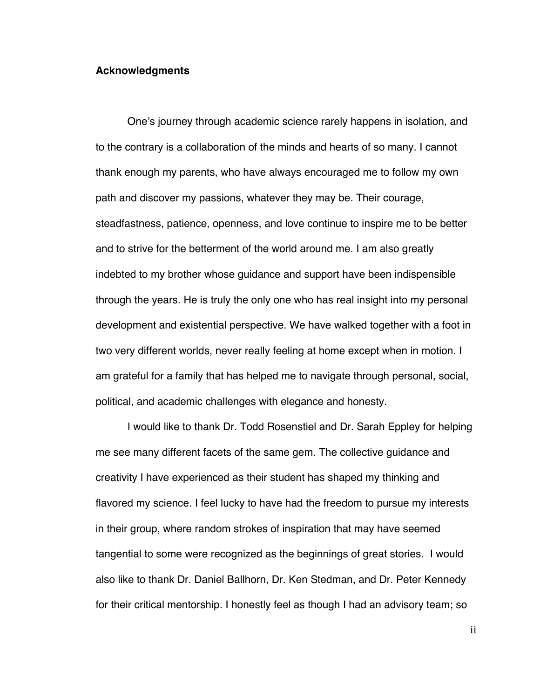#### **Acknowledgments**

One's journey through academic science rarely happens in isolation, and to the contrary is a collaboration of the minds and hearts of so many. I cannot thank enough my parents, who have always encouraged me to follow my own path and discover my passions, whatever they may be. Their courage, steadfastness, patience, openness, and love continue to inspire me to be better and to strive for the betterment of the world around me. I am also greatly indebted to my brother whose guidance and support have been indispensible through the years. He is truly the only one who has real insight into my personal development and existential perspective. We have walked together with a foot in two very different worlds, never really feeling at home except when in motion. I am grateful for a family that has helped me to navigate through personal, social, political, and academic challenges with elegance and honesty.

I would like to thank Dr. Todd Rosenstiel and Dr. Sarah Eppley for helping me see many different facets of the same gem. The collective guidance and creativity I have experienced as their student has shaped my thinking and flavored my science. I feel lucky to have had the freedom to pursue my interests in their group, where random strokes of inspiration that may have seemed tangential to some were recognized as the beginnings of great stories. I would also like to thank Dr. Daniel Ballhorn, Dr. Ken Stedman, and Dr. Peter Kennedy for their critical mentorship. I honestly feel as though I had an advisory team; so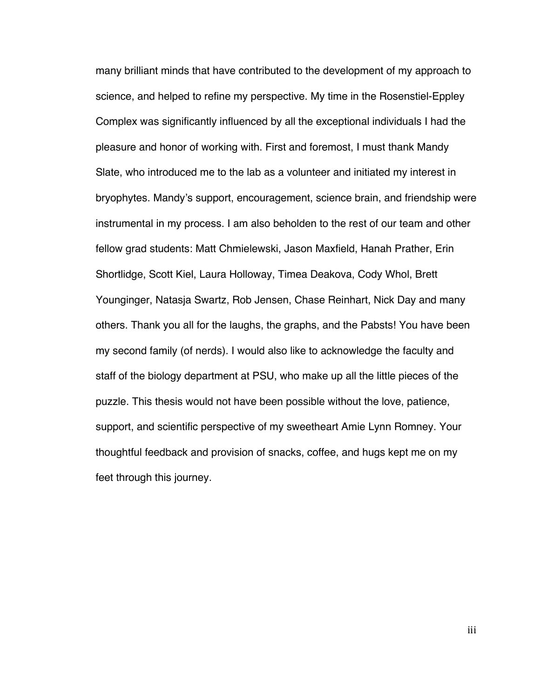many brilliant minds that have contributed to the development of my approach to science, and helped to refine my perspective. My time in the Rosenstiel-Eppley Complex was significantly influenced by all the exceptional individuals I had the pleasure and honor of working with. First and foremost, I must thank Mandy Slate, who introduced me to the lab as a volunteer and initiated my interest in bryophytes. Mandy's support, encouragement, science brain, and friendship were instrumental in my process. I am also beholden to the rest of our team and other fellow grad students: Matt Chmielewski, Jason Maxfield, Hanah Prather, Erin Shortlidge, Scott Kiel, Laura Holloway, Timea Deakova, Cody Whol, Brett Younginger, Natasja Swartz, Rob Jensen, Chase Reinhart, Nick Day and many others. Thank you all for the laughs, the graphs, and the Pabsts! You have been my second family (of nerds). I would also like to acknowledge the faculty and staff of the biology department at PSU, who make up all the little pieces of the puzzle. This thesis would not have been possible without the love, patience, support, and scientific perspective of my sweetheart Amie Lynn Romney. Your thoughtful feedback and provision of snacks, coffee, and hugs kept me on my feet through this journey.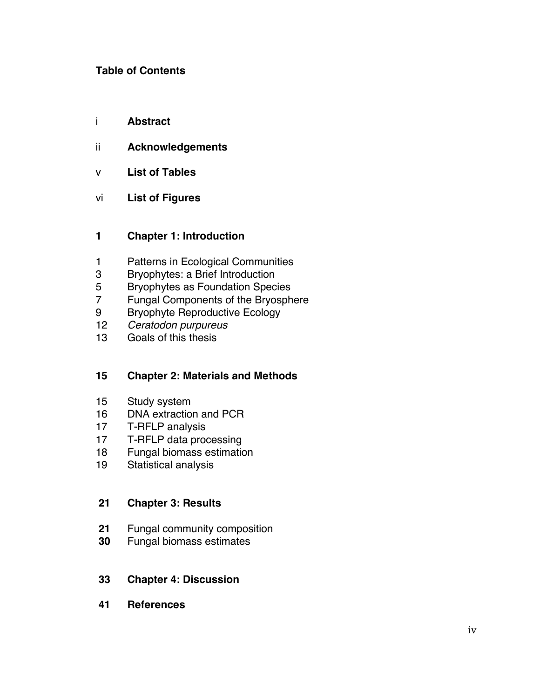# **Table of Contents**

- i **Abstract**
- ii **Acknowledgements**
- v **List of Tables**
- vi **List of Figures**

# **Chapter 1: Introduction**

- Patterns in Ecological Communities
- Bryophytes: a Brief Introduction
- Bryophytes as Foundation Species
- Fungal Components of the Bryosphere
- 9 Bryophyte Reproductive Ecology
- *Ceratodon purpureus*
- Goals of this thesis

# **Chapter 2: Materials and Methods**

- Study system
- DNA extraction and PCR
- T-RFLP analysis
- T-RFLP data processing
- Fungal biomass estimation
- Statistical analysis

## **Chapter 3: Results**

- Fungal community composition
- Fungal biomass estimates

## **Chapter 4: Discussion**

**References**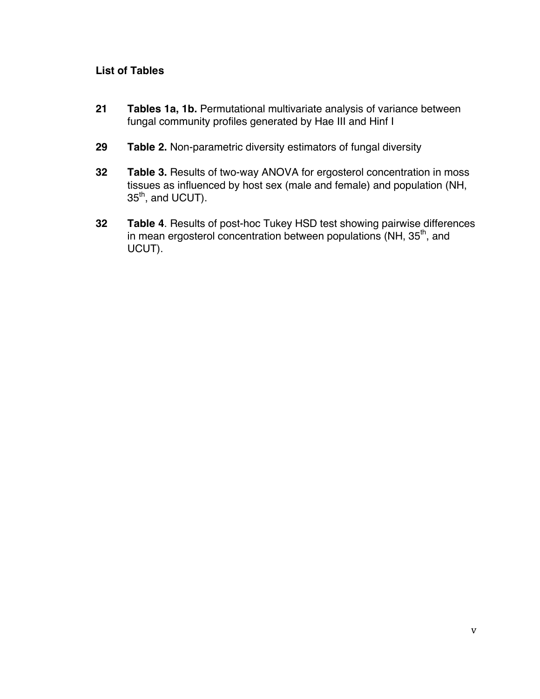# **List of Tables**

- **21 Tables 1a, 1b.** Permutational multivariate analysis of variance between fungal community profiles generated by Hae III and Hinf I
- **29 Table 2.** Non-parametric diversity estimators of fungal diversity
- **32 Table 3.** Results of two-way ANOVA for ergosterol concentration in moss tissues as influenced by host sex (male and female) and population (NH, 35<sup>th</sup>, and UCUT).
- **32 Table 4**. Results of post-hoc Tukey HSD test showing pairwise differences in mean ergosterol concentration between populations (NH, 35<sup>th</sup>, and UCUT).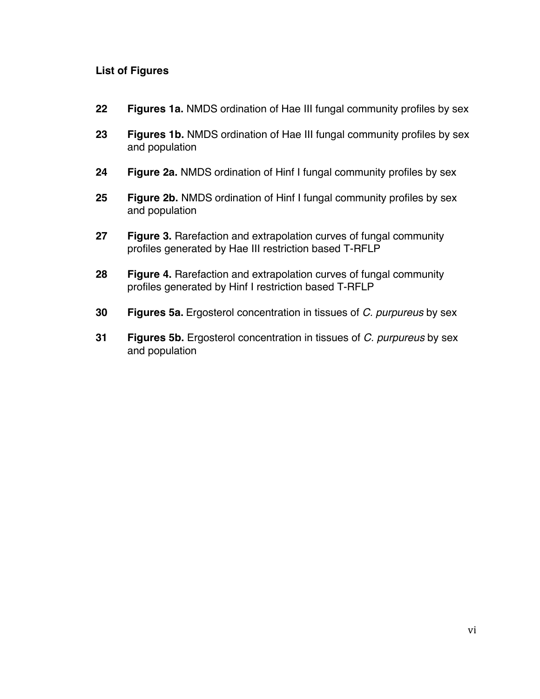# **List of Figures**

- **22 Figures 1a.** NMDS ordination of Hae III fungal community profiles by sex
- **23 Figures 1b.** NMDS ordination of Hae III fungal community profiles by sex and population
- **24 Figure 2a.** NMDS ordination of Hinf I fungal community profiles by sex
- **25 Figure 2b.** NMDS ordination of Hinf I fungal community profiles by sex and population
- **27 Figure 3.** Rarefaction and extrapolation curves of fungal community profiles generated by Hae III restriction based T-RFLP
- **28 Figure 4.** Rarefaction and extrapolation curves of fungal community profiles generated by Hinf I restriction based T-RFLP
- **30 Figures 5a.** Ergosterol concentration in tissues of *C. purpureus* by sex
- **31 Figures 5b.** Ergosterol concentration in tissues of *C. purpureus* by sex and population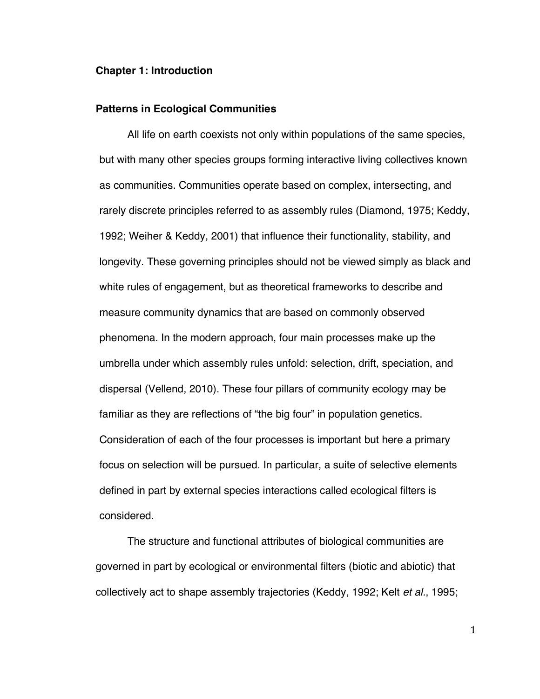#### **Chapter 1: Introduction**

#### **Patterns in Ecological Communities**

All life on earth coexists not only within populations of the same species, but with many other species groups forming interactive living collectives known as communities. Communities operate based on complex, intersecting, and rarely discrete principles referred to as assembly rules (Diamond, 1975; Keddy, 1992; Weiher & Keddy, 2001) that influence their functionality, stability, and longevity. These governing principles should not be viewed simply as black and white rules of engagement, but as theoretical frameworks to describe and measure community dynamics that are based on commonly observed phenomena. In the modern approach, four main processes make up the umbrella under which assembly rules unfold: selection, drift, speciation, and dispersal (Vellend, 2010). These four pillars of community ecology may be familiar as they are reflections of "the big four" in population genetics. Consideration of each of the four processes is important but here a primary focus on selection will be pursued. In particular, a suite of selective elements defined in part by external species interactions called ecological filters is considered.

The structure and functional attributes of biological communities are governed in part by ecological or environmental filters (biotic and abiotic) that collectively act to shape assembly trajectories (Keddy, 1992; Kelt *et al.*, 1995;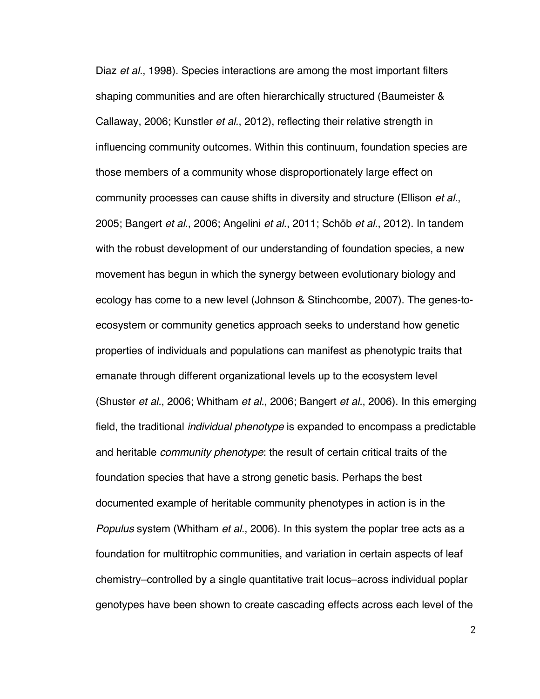Diaz *et al.*, 1998). Species interactions are among the most important filters shaping communities and are often hierarchically structured (Baumeister & Callaway, 2006; Kunstler *et al.*, 2012), reflecting their relative strength in influencing community outcomes. Within this continuum, foundation species are those members of a community whose disproportionately large effect on community processes can cause shifts in diversity and structure (Ellison *et al.*, 2005; Bangert *et al.*, 2006; Angelini *et al.*, 2011; Schöb *et al.*, 2012). In tandem with the robust development of our understanding of foundation species, a new movement has begun in which the synergy between evolutionary biology and ecology has come to a new level (Johnson & Stinchcombe, 2007). The genes-toecosystem or community genetics approach seeks to understand how genetic properties of individuals and populations can manifest as phenotypic traits that emanate through different organizational levels up to the ecosystem level (Shuster *et al.*, 2006; Whitham *et al.*, 2006; Bangert *et al.*, 2006). In this emerging field, the traditional *individual phenotype* is expanded to encompass a predictable and heritable *community phenotype*: the result of certain critical traits of the foundation species that have a strong genetic basis. Perhaps the best documented example of heritable community phenotypes in action is in the *Populus* system (Whitham *et al.*, 2006). In this system the poplar tree acts as a foundation for multitrophic communities, and variation in certain aspects of leaf chemistry–controlled by a single quantitative trait locus–across individual poplar genotypes have been shown to create cascading effects across each level of the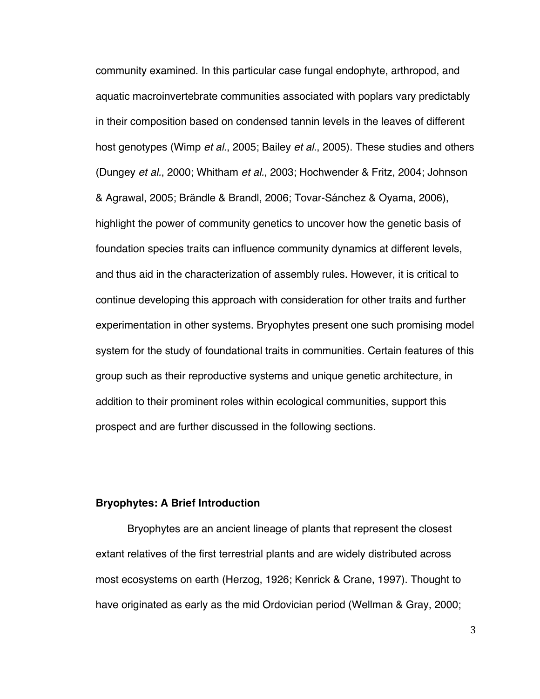community examined. In this particular case fungal endophyte, arthropod, and aquatic macroinvertebrate communities associated with poplars vary predictably in their composition based on condensed tannin levels in the leaves of different host genotypes (Wimp *et al.*, 2005; Bailey *et al.*, 2005). These studies and others (Dungey *et al.*, 2000; Whitham *et al.*, 2003; Hochwender & Fritz, 2004; Johnson & Agrawal, 2005; Brändle & Brandl, 2006; Tovar-Sánchez & Oyama, 2006), highlight the power of community genetics to uncover how the genetic basis of foundation species traits can influence community dynamics at different levels, and thus aid in the characterization of assembly rules. However, it is critical to continue developing this approach with consideration for other traits and further experimentation in other systems. Bryophytes present one such promising model system for the study of foundational traits in communities. Certain features of this group such as their reproductive systems and unique genetic architecture, in addition to their prominent roles within ecological communities, support this prospect and are further discussed in the following sections.

## **Bryophytes: A Brief Introduction**

Bryophytes are an ancient lineage of plants that represent the closest extant relatives of the first terrestrial plants and are widely distributed across most ecosystems on earth (Herzog, 1926; Kenrick & Crane, 1997). Thought to have originated as early as the mid Ordovician period (Wellman & Gray, 2000;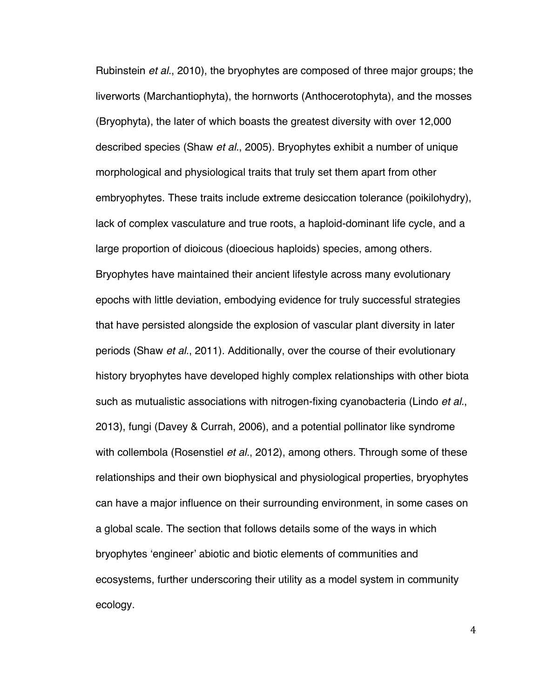Rubinstein *et al.*, 2010), the bryophytes are composed of three major groups; the liverworts (Marchantiophyta), the hornworts (Anthocerotophyta), and the mosses (Bryophyta), the later of which boasts the greatest diversity with over 12,000 described species (Shaw *et al.*, 2005). Bryophytes exhibit a number of unique morphological and physiological traits that truly set them apart from other embryophytes. These traits include extreme desiccation tolerance (poikilohydry), lack of complex vasculature and true roots, a haploid-dominant life cycle, and a large proportion of dioicous (dioecious haploids) species, among others. Bryophytes have maintained their ancient lifestyle across many evolutionary epochs with little deviation, embodying evidence for truly successful strategies that have persisted alongside the explosion of vascular plant diversity in later periods (Shaw *et al.*, 2011). Additionally, over the course of their evolutionary history bryophytes have developed highly complex relationships with other biota such as mutualistic associations with nitrogen-fixing cyanobacteria (Lindo *et al.*, 2013), fungi (Davey & Currah, 2006), and a potential pollinator like syndrome with collembola (Rosenstiel *et al.*, 2012), among others. Through some of these relationships and their own biophysical and physiological properties, bryophytes can have a major influence on their surrounding environment, in some cases on a global scale. The section that follows details some of the ways in which bryophytes 'engineer' abiotic and biotic elements of communities and ecosystems, further underscoring their utility as a model system in community ecology.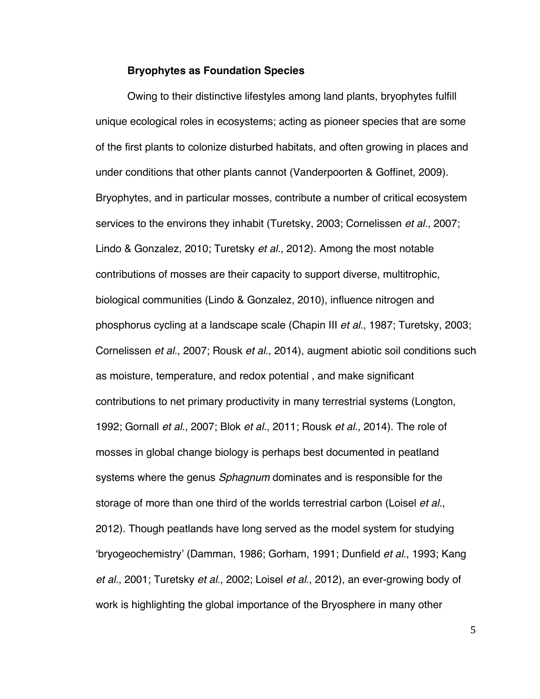#### **Bryophytes as Foundation Species**

Owing to their distinctive lifestyles among land plants, bryophytes fulfill unique ecological roles in ecosystems; acting as pioneer species that are some of the first plants to colonize disturbed habitats, and often growing in places and under conditions that other plants cannot (Vanderpoorten & Goffinet, 2009). Bryophytes, and in particular mosses, contribute a number of critical ecosystem services to the environs they inhabit (Turetsky, 2003; Cornelissen *et al.*, 2007; Lindo & Gonzalez, 2010; Turetsky *et al.*, 2012). Among the most notable contributions of mosses are their capacity to support diverse, multitrophic, biological communities (Lindo & Gonzalez, 2010), influence nitrogen and phosphorus cycling at a landscape scale (Chapin III *et al.*, 1987; Turetsky, 2003; Cornelissen *et al.*, 2007; Rousk *et al.*, 2014), augment abiotic soil conditions such as moisture, temperature, and redox potential , and make significant contributions to net primary productivity in many terrestrial systems (Longton, 1992; Gornall *et al.*, 2007; Blok *et al.*, 2011; Rousk *et al.*, 2014). The role of mosses in global change biology is perhaps best documented in peatland systems where the genus *Sphagnum* dominates and is responsible for the storage of more than one third of the worlds terrestrial carbon (Loisel *et al.*, 2012). Though peatlands have long served as the model system for studying 'bryogeochemistry' (Damman, 1986; Gorham, 1991; Dunfield *et al.*, 1993; Kang *et al.*, 2001; Turetsky *et al.*, 2002; Loisel *et al.*, 2012), an ever-growing body of work is highlighting the global importance of the Bryosphere in many other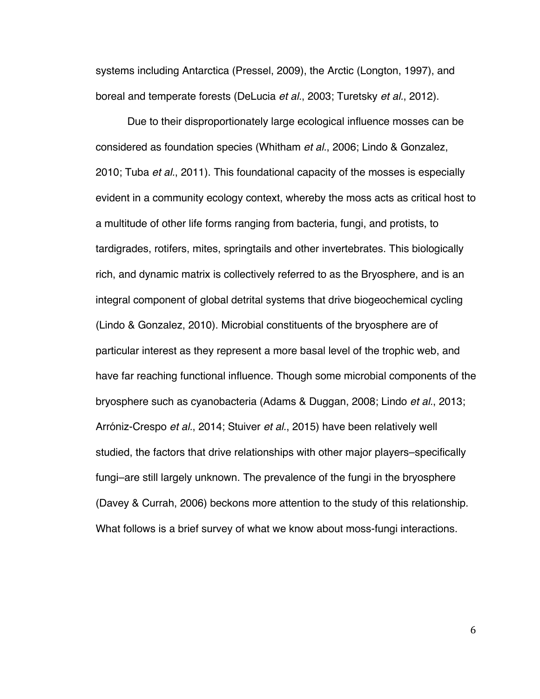systems including Antarctica (Pressel, 2009), the Arctic (Longton, 1997), and boreal and temperate forests (DeLucia *et al.*, 2003; Turetsky *et al.*, 2012).

Due to their disproportionately large ecological influence mosses can be considered as foundation species (Whitham *et al.*, 2006; Lindo & Gonzalez, 2010; Tuba *et al.*, 2011). This foundational capacity of the mosses is especially evident in a community ecology context, whereby the moss acts as critical host to a multitude of other life forms ranging from bacteria, fungi, and protists, to tardigrades, rotifers, mites, springtails and other invertebrates. This biologically rich, and dynamic matrix is collectively referred to as the Bryosphere, and is an integral component of global detrital systems that drive biogeochemical cycling (Lindo & Gonzalez, 2010). Microbial constituents of the bryosphere are of particular interest as they represent a more basal level of the trophic web, and have far reaching functional influence. Though some microbial components of the bryosphere such as cyanobacteria (Adams & Duggan, 2008; Lindo *et al.*, 2013; Arróniz-Crespo *et al.*, 2014; Stuiver *et al.*, 2015) have been relatively well studied, the factors that drive relationships with other major players–specifically fungi–are still largely unknown. The prevalence of the fungi in the bryosphere (Davey & Currah, 2006) beckons more attention to the study of this relationship. What follows is a brief survey of what we know about moss-fungi interactions.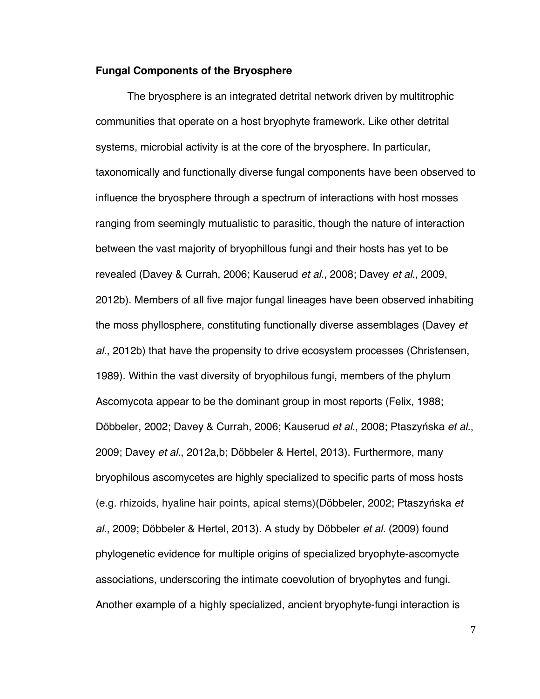#### **Fungal Components of the Bryosphere**

The bryosphere is an integrated detrital network driven by multitrophic communities that operate on a host bryophyte framework. Like other detrital systems, microbial activity is at the core of the bryosphere. In particular, taxonomically and functionally diverse fungal components have been observed to influence the bryosphere through a spectrum of interactions with host mosses ranging from seemingly mutualistic to parasitic, though the nature of interaction between the vast majority of bryophillous fungi and their hosts has yet to be revealed (Davey & Currah, 2006; Kauserud *et al.*, 2008; Davey *et al.*, 2009, 2012b). Members of all five major fungal lineages have been observed inhabiting the moss phyllosphere, constituting functionally diverse assemblages (Davey *et al.*, 2012b) that have the propensity to drive ecosystem processes (Christensen, 1989). Within the vast diversity of bryophilous fungi, members of the phylum Ascomycota appear to be the dominant group in most reports (Felix, 1988; Döbbeler, 2002; Davey & Currah, 2006; Kauserud *et al.*, 2008; Ptaszyńska *et al.*, 2009; Davey *et al.*, 2012a,b; Döbbeler & Hertel, 2013). Furthermore, many bryophilous ascomycetes are highly specialized to specific parts of moss hosts (e.g. rhizoids, hyaline hair points, apical stems)(Döbbeler, 2002; Ptaszyńska *et al.*, 2009; Döbbeler & Hertel, 2013). A study by Döbbeler *et al.* (2009) found phylogenetic evidence for multiple origins of specialized bryophyte-ascomycte associations, underscoring the intimate coevolution of bryophytes and fungi. Another example of a highly specialized, ancient bryophyte-fungi interaction is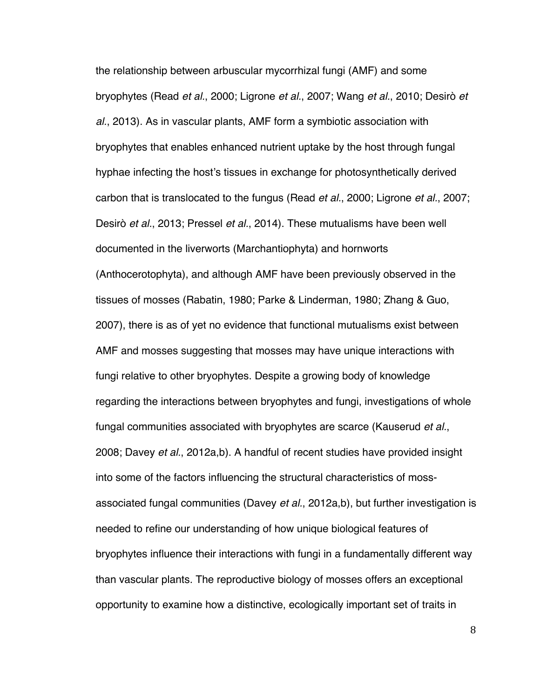the relationship between arbuscular mycorrhizal fungi (AMF) and some bryophytes (Read *et al.*, 2000; Ligrone *et al.*, 2007; Wang *et al.*, 2010; Desirò *et al.*, 2013). As in vascular plants, AMF form a symbiotic association with bryophytes that enables enhanced nutrient uptake by the host through fungal hyphae infecting the host's tissues in exchange for photosynthetically derived carbon that is translocated to the fungus (Read *et al.*, 2000; Ligrone *et al.*, 2007; Desirò *et al.*, 2013; Pressel *et al.*, 2014). These mutualisms have been well documented in the liverworts (Marchantiophyta) and hornworts (Anthocerotophyta), and although AMF have been previously observed in the tissues of mosses (Rabatin, 1980; Parke & Linderman, 1980; Zhang & Guo, 2007), there is as of yet no evidence that functional mutualisms exist between AMF and mosses suggesting that mosses may have unique interactions with fungi relative to other bryophytes. Despite a growing body of knowledge regarding the interactions between bryophytes and fungi, investigations of whole fungal communities associated with bryophytes are scarce (Kauserud *et al.*, 2008; Davey *et al.*, 2012a,b). A handful of recent studies have provided insight into some of the factors influencing the structural characteristics of mossassociated fungal communities (Davey *et al.*, 2012a,b), but further investigation is needed to refine our understanding of how unique biological features of bryophytes influence their interactions with fungi in a fundamentally different way than vascular plants. The reproductive biology of mosses offers an exceptional opportunity to examine how a distinctive, ecologically important set of traits in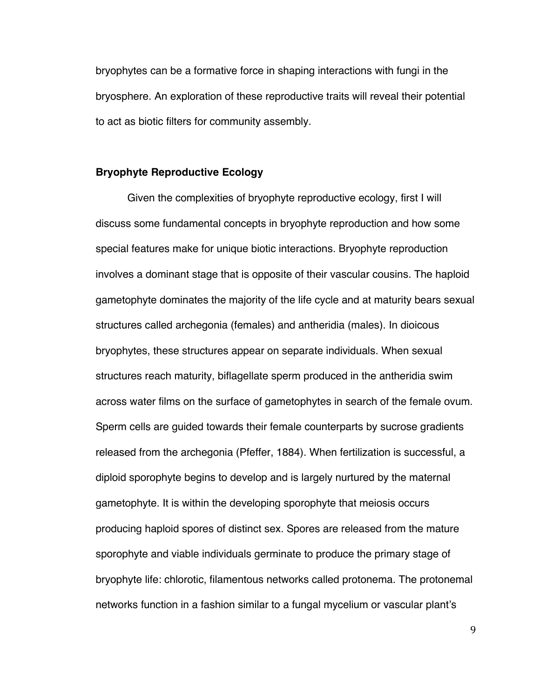bryophytes can be a formative force in shaping interactions with fungi in the bryosphere. An exploration of these reproductive traits will reveal their potential to act as biotic filters for community assembly.

#### **Bryophyte Reproductive Ecology**

Given the complexities of bryophyte reproductive ecology, first I will discuss some fundamental concepts in bryophyte reproduction and how some special features make for unique biotic interactions. Bryophyte reproduction involves a dominant stage that is opposite of their vascular cousins. The haploid gametophyte dominates the majority of the life cycle and at maturity bears sexual structures called archegonia (females) and antheridia (males). In dioicous bryophytes, these structures appear on separate individuals. When sexual structures reach maturity, biflagellate sperm produced in the antheridia swim across water films on the surface of gametophytes in search of the female ovum. Sperm cells are guided towards their female counterparts by sucrose gradients released from the archegonia (Pfeffer, 1884). When fertilization is successful, a diploid sporophyte begins to develop and is largely nurtured by the maternal gametophyte. It is within the developing sporophyte that meiosis occurs producing haploid spores of distinct sex. Spores are released from the mature sporophyte and viable individuals germinate to produce the primary stage of bryophyte life: chlorotic, filamentous networks called protonema. The protonemal networks function in a fashion similar to a fungal mycelium or vascular plant's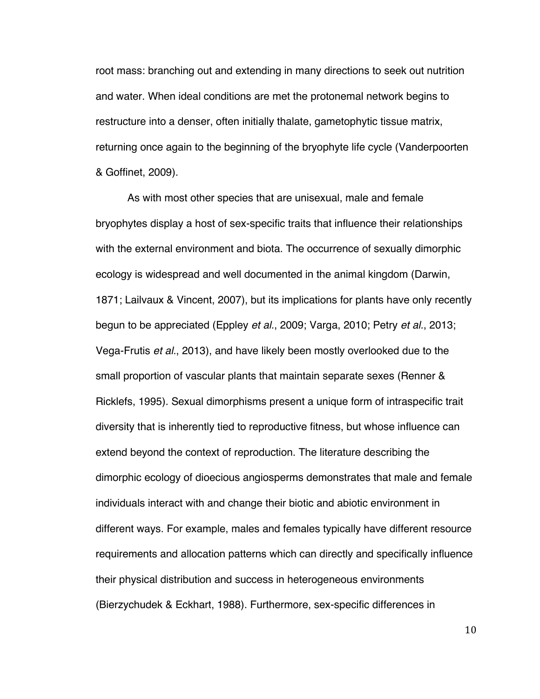root mass: branching out and extending in many directions to seek out nutrition and water. When ideal conditions are met the protonemal network begins to restructure into a denser, often initially thalate, gametophytic tissue matrix, returning once again to the beginning of the bryophyte life cycle (Vanderpoorten & Goffinet, 2009).

As with most other species that are unisexual, male and female bryophytes display a host of sex-specific traits that influence their relationships with the external environment and biota. The occurrence of sexually dimorphic ecology is widespread and well documented in the animal kingdom (Darwin, 1871; Lailvaux & Vincent, 2007), but its implications for plants have only recently begun to be appreciated (Eppley *et al.*, 2009; Varga, 2010; Petry *et al.*, 2013; Vega-Frutis *et al.*, 2013), and have likely been mostly overlooked due to the small proportion of vascular plants that maintain separate sexes (Renner & Ricklefs, 1995). Sexual dimorphisms present a unique form of intraspecific trait diversity that is inherently tied to reproductive fitness, but whose influence can extend beyond the context of reproduction. The literature describing the dimorphic ecology of dioecious angiosperms demonstrates that male and female individuals interact with and change their biotic and abiotic environment in different ways. For example, males and females typically have different resource requirements and allocation patterns which can directly and specifically influence their physical distribution and success in heterogeneous environments (Bierzychudek & Eckhart, 1988). Furthermore, sex-specific differences in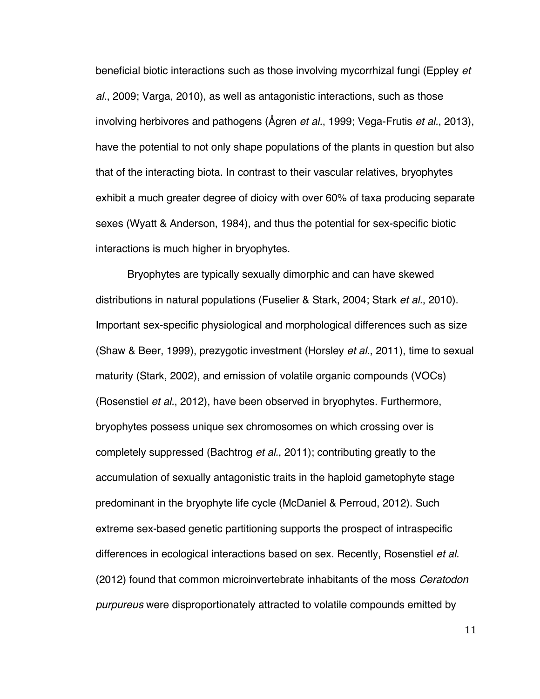beneficial biotic interactions such as those involving mycorrhizal fungi (Eppley *et al.*, 2009; Varga, 2010), as well as antagonistic interactions, such as those involving herbivores and pathogens (Ågren *et al.*, 1999; Vega-Frutis *et al.*, 2013), have the potential to not only shape populations of the plants in question but also that of the interacting biota. In contrast to their vascular relatives, bryophytes exhibit a much greater degree of dioicy with over 60% of taxa producing separate sexes (Wyatt & Anderson, 1984), and thus the potential for sex-specific biotic interactions is much higher in bryophytes.

Bryophytes are typically sexually dimorphic and can have skewed distributions in natural populations (Fuselier & Stark, 2004; Stark *et al.*, 2010). Important sex-specific physiological and morphological differences such as size (Shaw & Beer, 1999), prezygotic investment (Horsley *et al.*, 2011), time to sexual maturity (Stark, 2002), and emission of volatile organic compounds (VOCs) (Rosenstiel *et al.*, 2012), have been observed in bryophytes. Furthermore, bryophytes possess unique sex chromosomes on which crossing over is completely suppressed (Bachtrog *et al.*, 2011); contributing greatly to the accumulation of sexually antagonistic traits in the haploid gametophyte stage predominant in the bryophyte life cycle (McDaniel & Perroud, 2012). Such extreme sex-based genetic partitioning supports the prospect of intraspecific differences in ecological interactions based on sex. Recently, Rosenstiel *et al.* (2012) found that common microinvertebrate inhabitants of the moss *Ceratodon purpureus* were disproportionately attracted to volatile compounds emitted by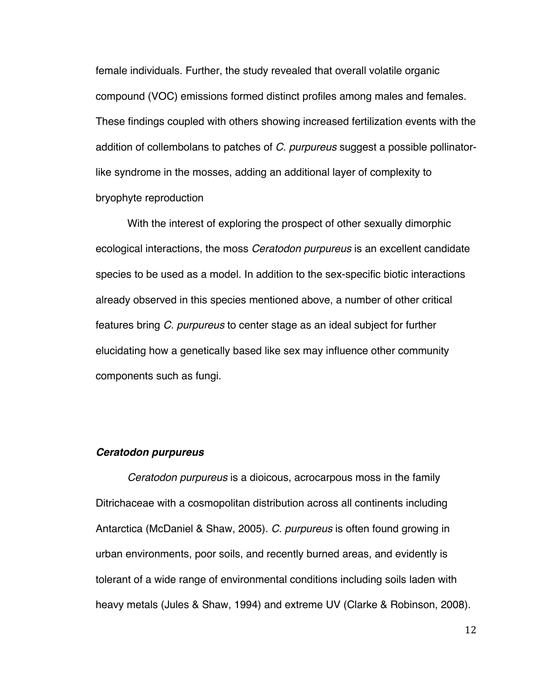female individuals. Further, the study revealed that overall volatile organic compound (VOC) emissions formed distinct profiles among males and females. These findings coupled with others showing increased fertilization events with the addition of collembolans to patches of *C. purpureus* suggest a possible pollinatorlike syndrome in the mosses, adding an additional layer of complexity to bryophyte reproduction

With the interest of exploring the prospect of other sexually dimorphic ecological interactions, the moss *Ceratodon purpureus* is an excellent candidate species to be used as a model. In addition to the sex-specific biotic interactions already observed in this species mentioned above, a number of other critical features bring *C. purpureus* to center stage as an ideal subject for further elucidating how a genetically based like sex may influence other community components such as fungi.

#### *Ceratodon purpureus*

*Ceratodon purpureus* is a dioicous, acrocarpous moss in the family Ditrichaceae with a cosmopolitan distribution across all continents including Antarctica (McDaniel & Shaw, 2005). *C. purpureus* is often found growing in urban environments, poor soils, and recently burned areas, and evidently is tolerant of a wide range of environmental conditions including soils laden with heavy metals (Jules & Shaw, 1994) and extreme UV (Clarke & Robinson, 2008).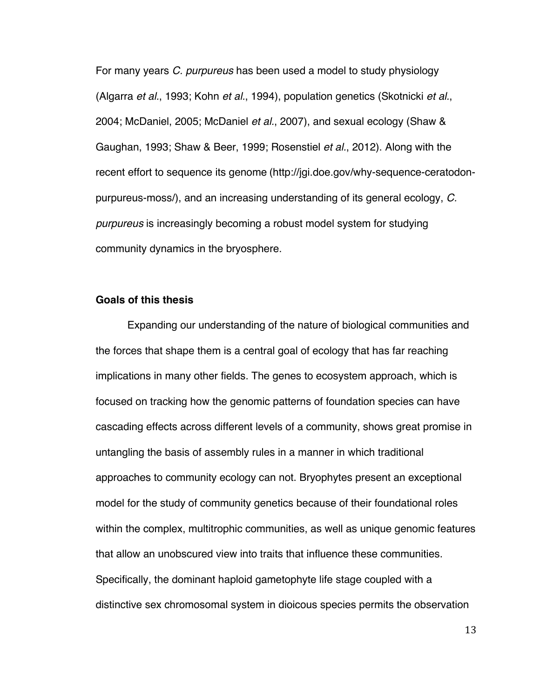For many years *C. purpureus* has been used a model to study physiology (Algarra *et al.*, 1993; Kohn *et al.*, 1994), population genetics (Skotnicki *et al.*, 2004; McDaniel, 2005; McDaniel *et al.*, 2007), and sexual ecology (Shaw & Gaughan, 1993; Shaw & Beer, 1999; Rosenstiel *et al.*, 2012). Along with the recent effort to sequence its genome (http://jgi.doe.gov/why-sequence-ceratodonpurpureus-moss/), and an increasing understanding of its general ecology, *C. purpureus* is increasingly becoming a robust model system for studying community dynamics in the bryosphere.

#### **Goals of this thesis**

Expanding our understanding of the nature of biological communities and the forces that shape them is a central goal of ecology that has far reaching implications in many other fields. The genes to ecosystem approach, which is focused on tracking how the genomic patterns of foundation species can have cascading effects across different levels of a community, shows great promise in untangling the basis of assembly rules in a manner in which traditional approaches to community ecology can not. Bryophytes present an exceptional model for the study of community genetics because of their foundational roles within the complex, multitrophic communities, as well as unique genomic features that allow an unobscured view into traits that influence these communities. Specifically, the dominant haploid gametophyte life stage coupled with a distinctive sex chromosomal system in dioicous species permits the observation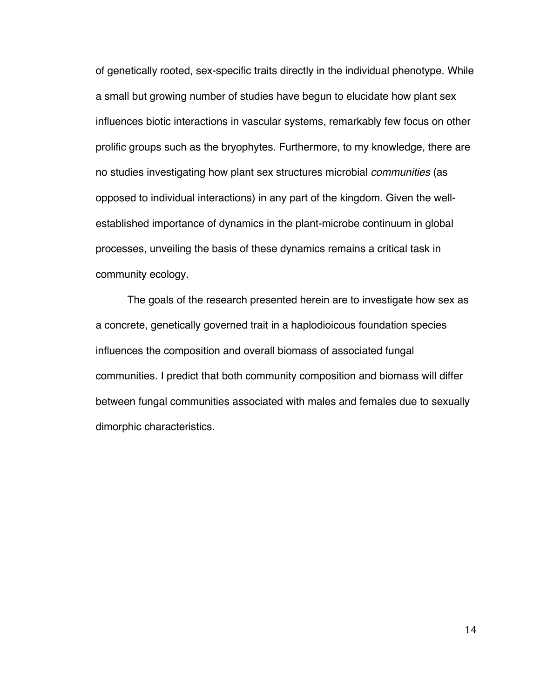of genetically rooted, sex-specific traits directly in the individual phenotype. While a small but growing number of studies have begun to elucidate how plant sex influences biotic interactions in vascular systems, remarkably few focus on other prolific groups such as the bryophytes. Furthermore, to my knowledge, there are no studies investigating how plant sex structures microbial *communities* (as opposed to individual interactions) in any part of the kingdom. Given the wellestablished importance of dynamics in the plant-microbe continuum in global processes, unveiling the basis of these dynamics remains a critical task in community ecology.

The goals of the research presented herein are to investigate how sex as a concrete, genetically governed trait in a haplodioicous foundation species influences the composition and overall biomass of associated fungal communities. I predict that both community composition and biomass will differ between fungal communities associated with males and females due to sexually dimorphic characteristics.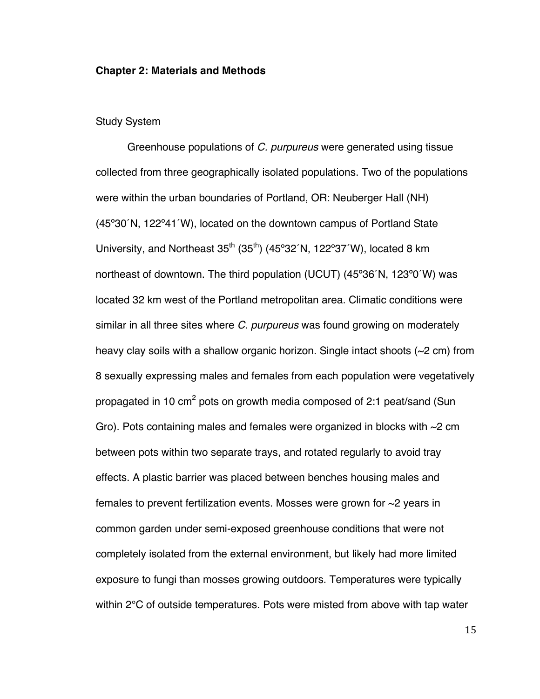#### **Chapter 2: Materials and Methods**

#### Study System

Greenhouse populations of *C. purpureus* were generated using tissue collected from three geographically isolated populations. Two of the populations were within the urban boundaries of Portland, OR: Neuberger Hall (NH) (45º30´N, 122º41´W), located on the downtown campus of Portland State University, and Northeast  $35<sup>th</sup>$  (35<sup>th</sup>) (45°32´N, 122°37´W), located 8 km northeast of downtown. The third population (UCUT) (45º36´N, 123º0´W) was located 32 km west of the Portland metropolitan area. Climatic conditions were similar in all three sites where *C. purpureus* was found growing on moderately heavy clay soils with a shallow organic horizon. Single intact shoots (~2 cm) from 8 sexually expressing males and females from each population were vegetatively propagated in 10  $\text{cm}^2$  pots on growth media composed of 2:1 peat/sand (Sun Gro). Pots containing males and females were organized in blocks with  $\sim$ 2 cm between pots within two separate trays, and rotated regularly to avoid tray effects. A plastic barrier was placed between benches housing males and females to prevent fertilization events. Mosses were grown for ~2 years in common garden under semi-exposed greenhouse conditions that were not completely isolated from the external environment, but likely had more limited exposure to fungi than mosses growing outdoors. Temperatures were typically within 2°C of outside temperatures. Pots were misted from above with tap water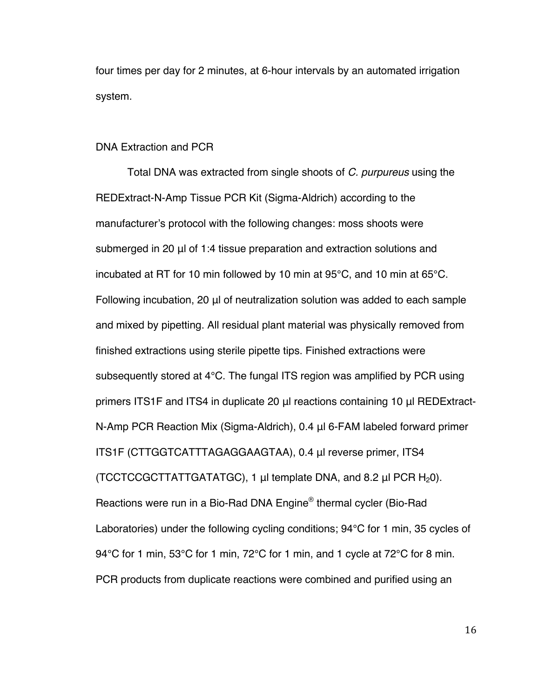four times per day for 2 minutes, at 6-hour intervals by an automated irrigation system.

#### DNA Extraction and PCR

Total DNA was extracted from single shoots of *C. purpureus* using the REDExtract-N-Amp Tissue PCR Kit (Sigma-Aldrich) according to the manufacturer's protocol with the following changes: moss shoots were submerged in 20 μl of 1:4 tissue preparation and extraction solutions and incubated at RT for 10 min followed by 10 min at 95°C, and 10 min at 65°C. Following incubation, 20 μl of neutralization solution was added to each sample and mixed by pipetting. All residual plant material was physically removed from finished extractions using sterile pipette tips. Finished extractions were subsequently stored at 4°C. The fungal ITS region was amplified by PCR using primers ITS1F and ITS4 in duplicate 20 μl reactions containing 10 μl REDExtract-N-Amp PCR Reaction Mix (Sigma-Aldrich), 0.4 μl 6-FAM labeled forward primer ITS1F (CTTGGTCATTTAGAGGAAGTAA), 0.4 μl reverse primer, ITS4 (TCCTCCGCTTATTGATATGC), 1  $\mu$ l template DNA, and 8.2  $\mu$ l PCR H<sub>2</sub>0). Reactions were run in a Bio-Rad DNA Engine® thermal cycler (Bio-Rad Laboratories) under the following cycling conditions; 94°C for 1 min, 35 cycles of 94°C for 1 min, 53°C for 1 min, 72°C for 1 min, and 1 cycle at 72°C for 8 min. PCR products from duplicate reactions were combined and purified using an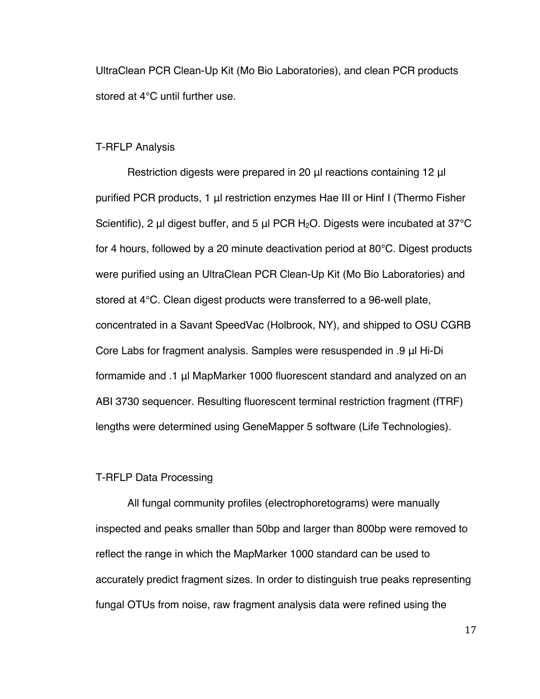UltraClean PCR Clean-Up Kit (Mo Bio Laboratories), and clean PCR products stored at 4°C until further use.

#### T-RFLP Analysis

Restriction digests were prepared in 20 μl reactions containing 12 μl purified PCR products, 1 μl restriction enzymes Hae III or Hinf I (Thermo Fisher Scientific), 2 μl digest buffer, and 5 μl PCR H<sub>2</sub>O. Digests were incubated at 37<sup>o</sup>C for 4 hours, followed by a 20 minute deactivation period at 80°C. Digest products were purified using an UltraClean PCR Clean-Up Kit (Mo Bio Laboratories) and stored at 4°C. Clean digest products were transferred to a 96-well plate, concentrated in a Savant SpeedVac (Holbrook, NY), and shipped to OSU CGRB Core Labs for fragment analysis. Samples were resuspended in .9 μl Hi-Di formamide and .1 μl MapMarker 1000 fluorescent standard and analyzed on an ABI 3730 sequencer. Resulting fluorescent terminal restriction fragment (fTRF) lengths were determined using GeneMapper 5 software (Life Technologies).

#### T-RFLP Data Processing

All fungal community profiles (electrophoretograms) were manually inspected and peaks smaller than 50bp and larger than 800bp were removed to reflect the range in which the MapMarker 1000 standard can be used to accurately predict fragment sizes. In order to distinguish true peaks representing fungal OTUs from noise, raw fragment analysis data were refined using the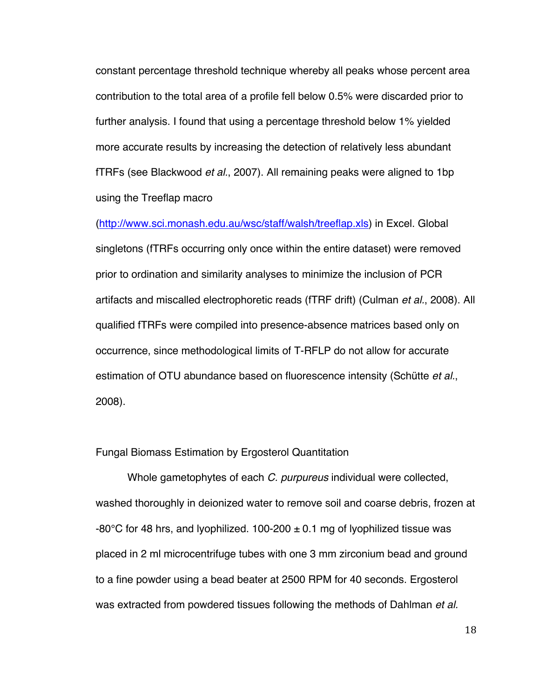constant percentage threshold technique whereby all peaks whose percent area contribution to the total area of a profile fell below 0.5% were discarded prior to further analysis. I found that using a percentage threshold below 1% yielded more accurate results by increasing the detection of relatively less abundant fTRFs (see Blackwood *et al.*, 2007). All remaining peaks were aligned to 1bp using the Treeflap macro

(http://www.sci.monash.edu.au/wsc/staff/walsh/treeflap.xls) in Excel. Global singletons (fTRFs occurring only once within the entire dataset) were removed prior to ordination and similarity analyses to minimize the inclusion of PCR artifacts and miscalled electrophoretic reads (fTRF drift) (Culman *et al.*, 2008). All qualified fTRFs were compiled into presence-absence matrices based only on occurrence, since methodological limits of T-RFLP do not allow for accurate estimation of OTU abundance based on fluorescence intensity (Schütte *et al.*, 2008).

#### Fungal Biomass Estimation by Ergosterol Quantitation

Whole gametophytes of each *C. purpureus* individual were collected, washed thoroughly in deionized water to remove soil and coarse debris, frozen at -80°C for 48 hrs, and lyophilized. 100-200  $\pm$  0.1 mg of lyophilized tissue was placed in 2 ml microcentrifuge tubes with one 3 mm zirconium bead and ground to a fine powder using a bead beater at 2500 RPM for 40 seconds. Ergosterol was extracted from powdered tissues following the methods of Dahlman *et al.*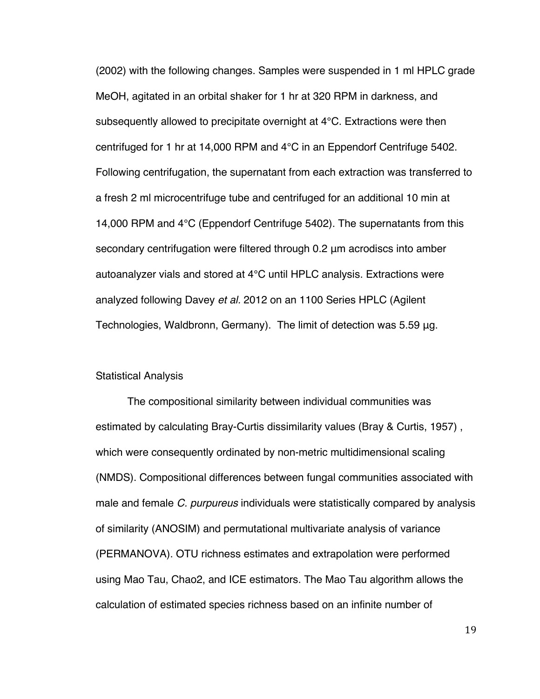(2002) with the following changes. Samples were suspended in 1 ml HPLC grade MeOH, agitated in an orbital shaker for 1 hr at 320 RPM in darkness, and subsequently allowed to precipitate overnight at 4°C. Extractions were then centrifuged for 1 hr at 14,000 RPM and 4°C in an Eppendorf Centrifuge 5402. Following centrifugation, the supernatant from each extraction was transferred to a fresh 2 ml microcentrifuge tube and centrifuged for an additional 10 min at 14,000 RPM and 4°C (Eppendorf Centrifuge 5402). The supernatants from this secondary centrifugation were filtered through 0.2 μm acrodiscs into amber autoanalyzer vials and stored at 4°C until HPLC analysis. Extractions were analyzed following Davey *et al.* 2012 on an 1100 Series HPLC (Agilent Technologies, Waldbronn, Germany). The limit of detection was 5.59 μg.

#### Statistical Analysis

The compositional similarity between individual communities was estimated by calculating Bray-Curtis dissimilarity values (Bray & Curtis, 1957) , which were consequently ordinated by non-metric multidimensional scaling (NMDS). Compositional differences between fungal communities associated with male and female *C. purpureus* individuals were statistically compared by analysis of similarity (ANOSIM) and permutational multivariate analysis of variance (PERMANOVA). OTU richness estimates and extrapolation were performed using Mao Tau, Chao2, and ICE estimators. The Mao Tau algorithm allows the calculation of estimated species richness based on an infinite number of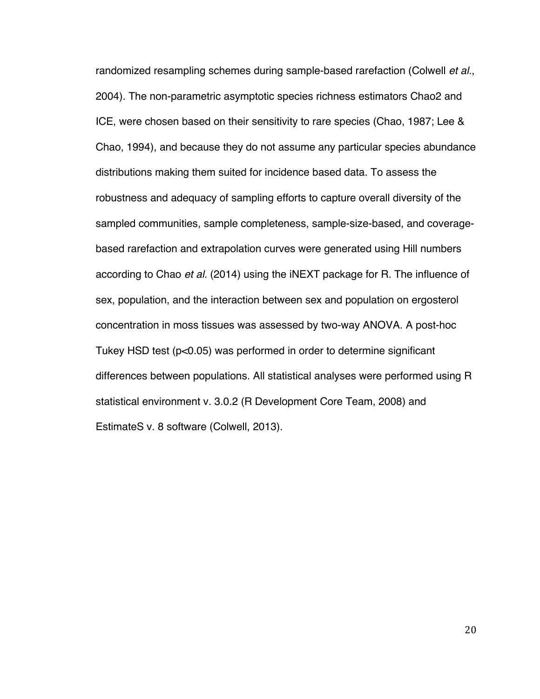randomized resampling schemes during sample-based rarefaction (Colwell *et al.*, 2004). The non-parametric asymptotic species richness estimators Chao2 and ICE, were chosen based on their sensitivity to rare species (Chao, 1987; Lee & Chao, 1994), and because they do not assume any particular species abundance distributions making them suited for incidence based data. To assess the robustness and adequacy of sampling efforts to capture overall diversity of the sampled communities, sample completeness, sample-size-based, and coveragebased rarefaction and extrapolation curves were generated using Hill numbers according to Chao *et al.* (2014) using the iNEXT package for R. The influence of sex, population, and the interaction between sex and population on ergosterol concentration in moss tissues was assessed by two-way ANOVA. A post-hoc Tukey HSD test (p<0.05) was performed in order to determine significant differences between populations. All statistical analyses were performed using R statistical environment v. 3.0.2 (R Development Core Team, 2008) and EstimateS v. 8 software (Colwell, 2013).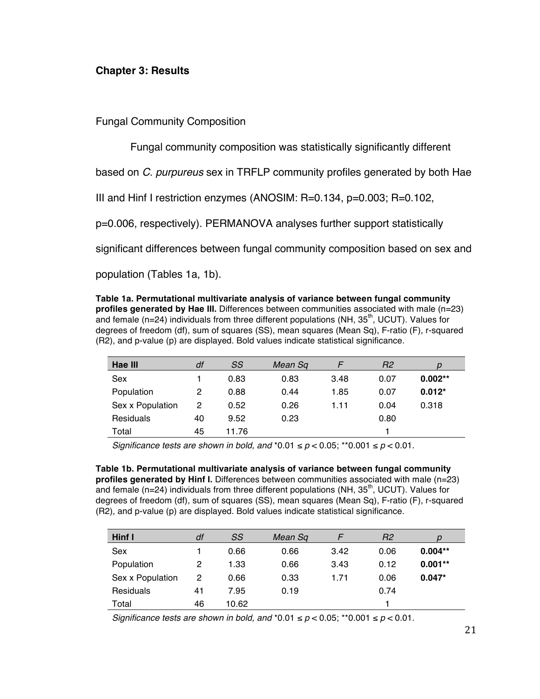## **Chapter 3: Results**

Fungal Community Composition

Fungal community composition was statistically significantly different

based on *C. purpureus* sex in TRFLP community profiles generated by both Hae

III and Hinf I restriction enzymes (ANOSIM: R=0.134, p=0.003; R=0.102,

p=0.006, respectively). PERMANOVA analyses further support statistically

significant differences between fungal community composition based on sex and

population (Tables 1a, 1b).

**Table 1a. Permutational multivariate analysis of variance between fungal community profiles generated by Hae III.** Differences between communities associated with male (n=23) and female (n=24) individuals from three different populations (NH,  $35<sup>th</sup>$ , UCUT). Values for degrees of freedom (df), sum of squares (SS), mean squares (Mean Sq), F-ratio (F), r-squared (R2), and p-value (p) are displayed. Bold values indicate statistical significance.

| Hae III          | df | SS    | Mean Sq |      | R2   |           |
|------------------|----|-------|---------|------|------|-----------|
| Sex              |    | 0.83  | 0.83    | 3.48 | 0.07 | $0.002**$ |
| Population       | 2  | 0.88  | 0.44    | 1.85 | 0.07 | $0.012*$  |
| Sex x Population | 2  | 0.52  | 0.26    | 1.11 | 0.04 | 0.318     |
| Residuals        | 40 | 9.52  | 0.23    |      | 0.80 |           |
| Total            | 45 | 11.76 |         |      |      |           |

*Significance tests are shown in bold, and*  $*0.01 \le p < 0.05$ *; \*\** $0.001 \le p < 0.01$ *.* 

**Table 1b. Permutational multivariate analysis of variance between fungal community profiles generated by Hinf I.** Differences between communities associated with male (n=23) and female (n=24) individuals from three different populations (NH,  $35<sup>th</sup>$ , UCUT). Values for degrees of freedom (df), sum of squares (SS), mean squares (Mean Sq), F-ratio (F), r-squared (R2), and p-value (p) are displayed. Bold values indicate statistical significance.

| Hinf I           | df | SS    | Mean Sq |      | R <sub>2</sub> |           |
|------------------|----|-------|---------|------|----------------|-----------|
| Sex              |    | 0.66  | 0.66    | 3.42 | 0.06           | $0.004**$ |
| Population       | 2  | 1.33  | 0.66    | 3.43 | 0.12           | $0.001**$ |
| Sex x Population | 2  | 0.66  | 0.33    | 1.71 | 0.06           | $0.047*$  |
| Residuals        | 41 | 7.95  | 0.19    |      | 0.74           |           |
| Total            | 46 | 10.62 |         |      |                |           |

*Significance tests are shown in bold, and*  $*0.01 \le p < 0.05$ *; \*\** $0.001 \le p < 0.01$ *.*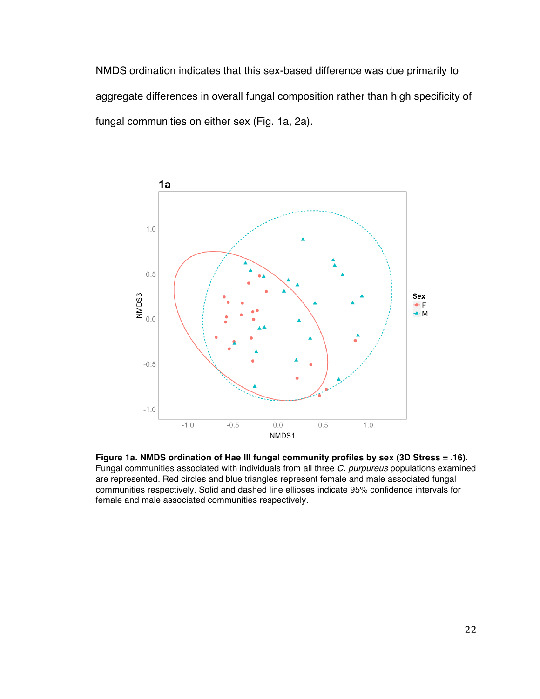NMDS ordination indicates that this sex-based difference was due primarily to aggregate differences in overall fungal composition rather than high specificity of fungal communities on either sex (Fig. 1a, 2a).



**Figure 1a. NMDS ordination of Hae III fungal community profiles by sex (3D Stress = .16).** Fungal communities associated with individuals from all three *C. purpureus* populations examined are represented. Red circles and blue triangles represent female and male associated fungal communities respectively. Solid and dashed line ellipses indicate 95% confidence intervals for female and male associated communities respectively.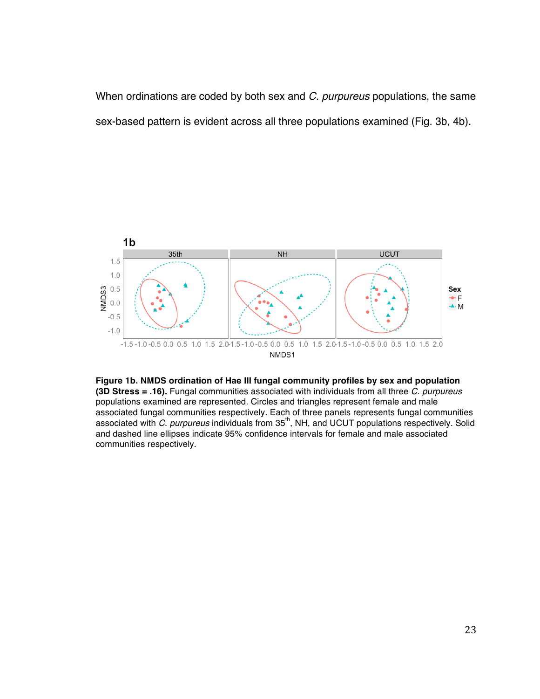When ordinations are coded by both sex and *C. purpureus* populations, the same sex-based pattern is evident across all three populations examined (Fig. 3b, 4b).



**Figure 1b. NMDS ordination of Hae III fungal community profiles by sex and population (3D Stress = .16).** Fungal communities associated with individuals from all three *C. purpureus* populations examined are represented. Circles and triangles represent female and male associated fungal communities respectively. Each of three panels represents fungal communities associated with *C. purpureus* individuals from 35<sup>th</sup>, NH, and UCUT populations respectively. Solid and dashed line ellipses indicate 95% confidence intervals for female and male associated communities respectively.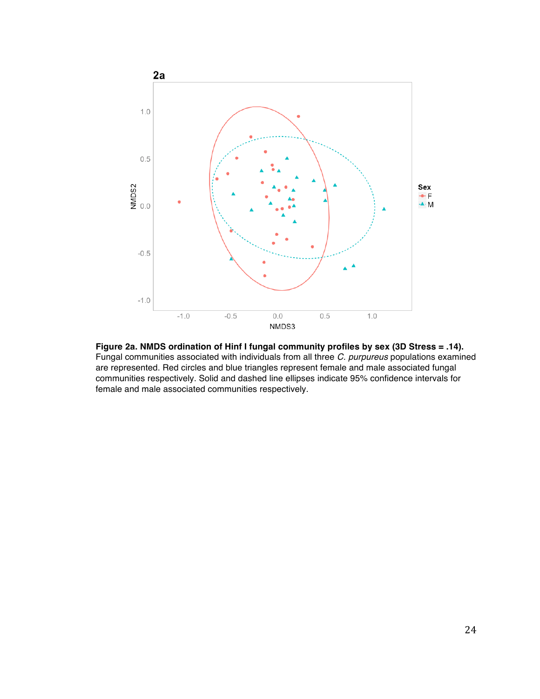

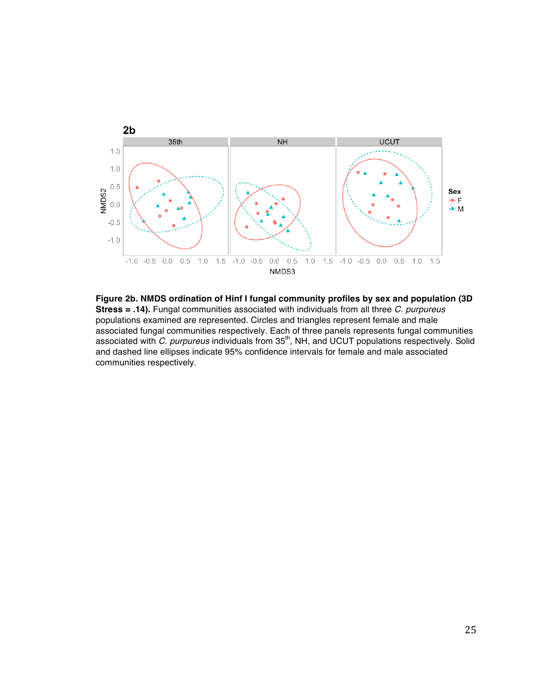

**Figure 2b. NMDS ordination of Hinf I fungal community profiles by sex and population (3D Stress = .14).** Fungal communities associated with individuals from all three *C. purpureus* populations examined are represented. Circles and triangles represent female and male associated fungal communities respectively. Each of three panels represents fungal communities associated with *C. purpureus* individuals from 35<sup>th</sup>, NH, and UCUT populations respectively. Solid and dashed line ellipses indicate 95% confidence intervals for female and male associated communities respectively.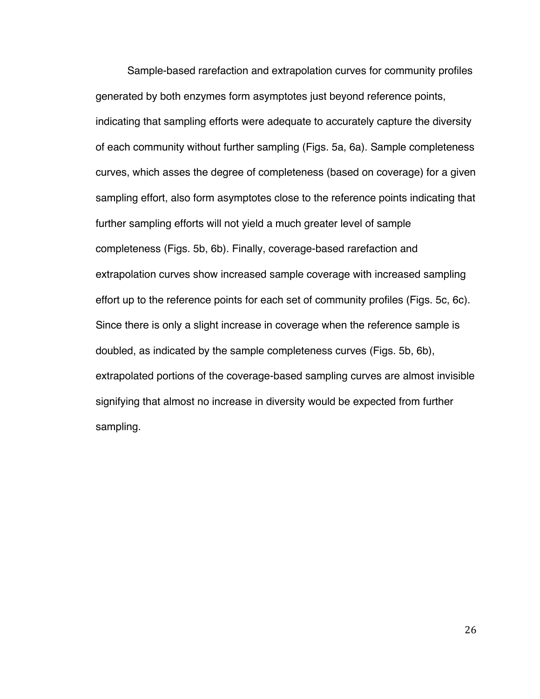Sample-based rarefaction and extrapolation curves for community profiles generated by both enzymes form asymptotes just beyond reference points, indicating that sampling efforts were adequate to accurately capture the diversity of each community without further sampling (Figs. 5a, 6a). Sample completeness curves, which asses the degree of completeness (based on coverage) for a given sampling effort, also form asymptotes close to the reference points indicating that further sampling efforts will not yield a much greater level of sample completeness (Figs. 5b, 6b). Finally, coverage-based rarefaction and extrapolation curves show increased sample coverage with increased sampling effort up to the reference points for each set of community profiles (Figs. 5c, 6c). Since there is only a slight increase in coverage when the reference sample is doubled, as indicated by the sample completeness curves (Figs. 5b, 6b), extrapolated portions of the coverage-based sampling curves are almost invisible signifying that almost no increase in diversity would be expected from further sampling.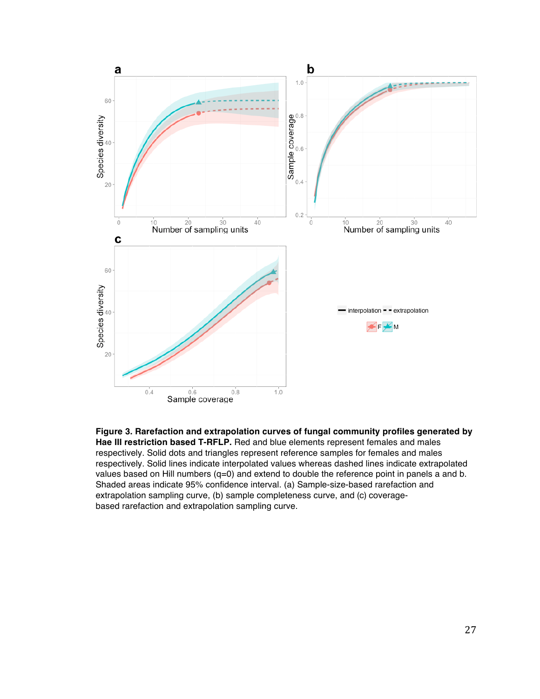

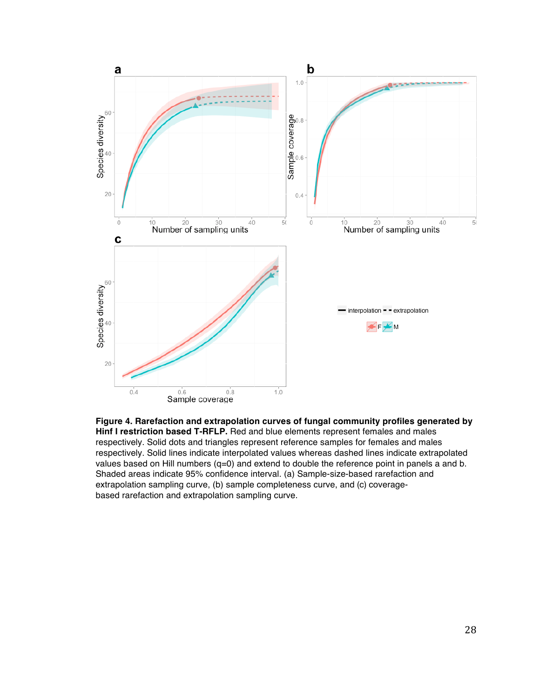

**Figure 4. Rarefaction and extrapolation curves of fungal community profiles generated by Hinf I restriction based T-RFLP.** Red and blue elements represent females and males respectively. Solid dots and triangles represent reference samples for females and males respectively. Solid lines indicate interpolated values whereas dashed lines indicate extrapolated values based on Hill numbers (q=0) and extend to double the reference point in panels a and b. Shaded areas indicate 95% confidence interval. (a) Sample-size-based rarefaction and extrapolation sampling curve, (b) sample completeness curve, and (c) coveragebased rarefaction and extrapolation sampling curve.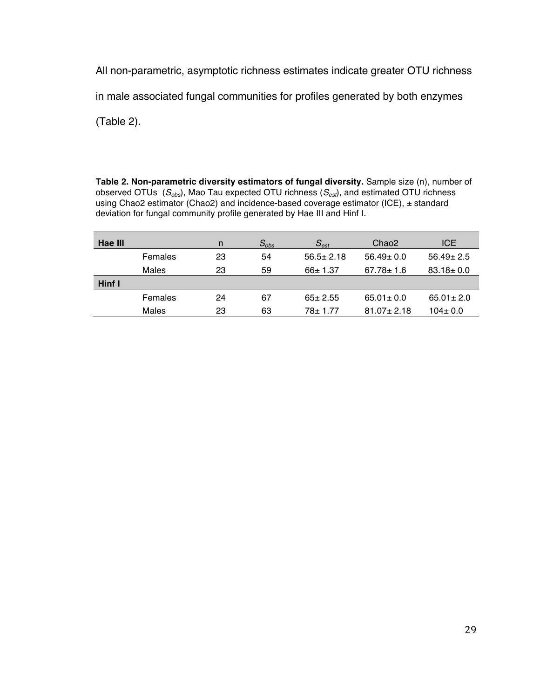All non-parametric, asymptotic richness estimates indicate greater OTU richness in male associated fungal communities for profiles generated by both enzymes

(Table 2).

**Table 2. Non-parametric diversity estimators of fungal diversity.** Sample size (n), number of observed OTUs (*Sobs*), Mao Tau expected OTU richness (*Sest*), and estimated OTU richness using Chao2 estimator (Chao2) and incidence-based coverage estimator (ICE), ± standard deviation for fungal community profile generated by Hae III and Hinf I.

| Hae III |         | n  | $S_{obs}$ | $S_{est}$       | Chao <sub>2</sub> | <b>ICE</b>      |
|---------|---------|----|-----------|-----------------|-------------------|-----------------|
|         | Females | 23 | 54        | $56.5 \pm 2.18$ | $56.49 \pm 0.0$   | $56.49 \pm 2.5$ |
|         | Males   | 23 | 59        | $66 \pm 1.37$   | $67.78 \pm 1.6$   | $83.18 \pm 0.0$ |
| Hinf I  |         |    |           |                 |                   |                 |
|         | Females | 24 | 67        | $65 \pm 2.55$   | $65.01 \pm 0.0$   | $65.01 \pm 2.0$ |
|         | Males   | 23 | 63        | $78 + 1.77$     | $81.07 \pm 2.18$  | $104 \pm 0.0$   |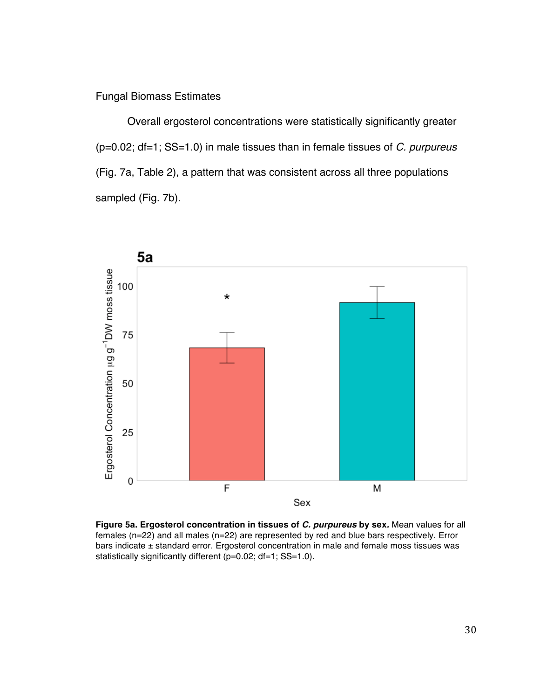# Fungal Biomass Estimates

Overall ergosterol concentrations were statistically significantly greater (p=0.02; df=1; SS=1.0) in male tissues than in female tissues of *C. purpureus*  (Fig. 7a, Table 2), a pattern that was consistent across all three populations sampled (Fig. 7b).



**Figure 5a. Ergosterol concentration in tissues of** *C. purpureus* **by sex***.* Mean values for all females (n=22) and all males (n=22) are represented by red and blue bars respectively. Error bars indicate  $\pm$  standard error. Ergosterol concentration in male and female moss tissues was statistically significantly different (p=0.02; df=1; SS=1.0).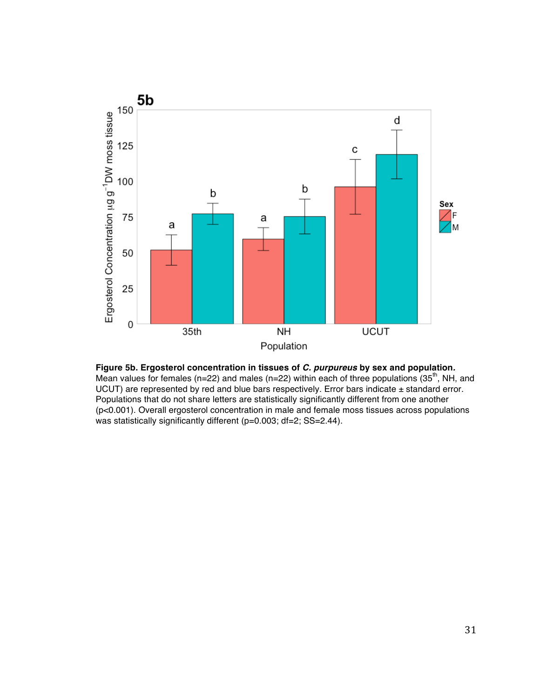

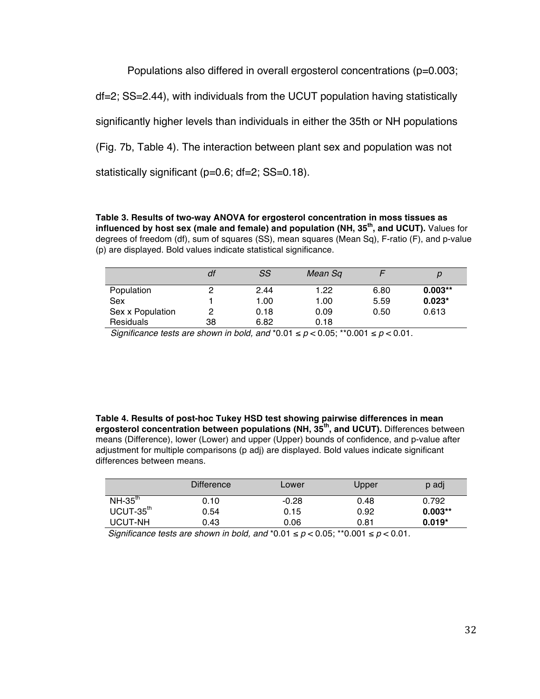Populations also differed in overall ergosterol concentrations (p=0.003;

df=2; SS=2.44), with individuals from the UCUT population having statistically

significantly higher levels than individuals in either the 35th or NH populations

(Fig. 7b, Table 4). The interaction between plant sex and population was not

statistically significant (p=0.6; df=2; SS=0.18).

**Table 3. Results of two-way ANOVA for ergosterol concentration in moss tissues as influenced by host sex (male and female) and population (NH, 35th, and UCUT).** Values for degrees of freedom (df), sum of squares (SS), mean squares (Mean Sq), F-ratio (F), and p-value (p) are displayed. Bold values indicate statistical significance.

|                  | df | SS   | Mean Sq |      |           |
|------------------|----|------|---------|------|-----------|
| Population       |    | 2.44 | 1.22    | 6.80 | $0.003**$ |
| Sex              |    | 1.00 | 1.00    | 5.59 | $0.023*$  |
| Sex x Population | 2  | 0.18 | 0.09    | 0.50 | 0.613     |
| Residuals        | 38 | 6.82 | 0.18    |      |           |

*Significance tests are shown in bold, and*  $*0.01 \le p < 0.05$ *; \*\** $0.001 \le p < 0.01$ *.* 

**Table 4. Results of post-hoc Tukey HSD test showing pairwise differences in mean ergosterol concentration between populations (NH, 35th, and UCUT).** Differences between means (Difference), lower (Lower) and upper (Upper) bounds of confidence, and p-value after adjustment for multiple comparisons (p adj) are displayed. Bold values indicate significant differences between means.

|             | <b>Difference</b> | Lower   | Upper | p adj     |
|-------------|-------------------|---------|-------|-----------|
| $NH-35th$   | 0.10              | $-0.28$ | 0.48  | 0.792     |
| $UCUT-35th$ | 0.54              | 0.15    | 0.92  | $0.003**$ |
| UCUT-NH     | 0.43              | 0.06    | 0.81  | $0.019*$  |
|             |                   |         |       |           |

*Significance tests are shown in bold, and*  $*0.01 \le p < 0.05$ *; \*\** $0.001 \le p < 0.01$ *.*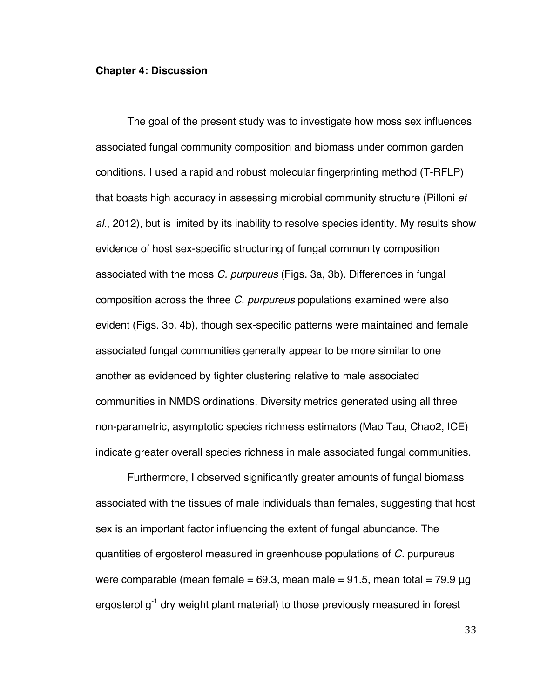#### **Chapter 4: Discussion**

The goal of the present study was to investigate how moss sex influences associated fungal community composition and biomass under common garden conditions. I used a rapid and robust molecular fingerprinting method (T-RFLP) that boasts high accuracy in assessing microbial community structure (Pilloni *et al.*, 2012), but is limited by its inability to resolve species identity. My results show evidence of host sex-specific structuring of fungal community composition associated with the moss *C. purpureus* (Figs. 3a, 3b). Differences in fungal composition across the three *C. purpureus* populations examined were also evident (Figs. 3b, 4b), though sex-specific patterns were maintained and female associated fungal communities generally appear to be more similar to one another as evidenced by tighter clustering relative to male associated communities in NMDS ordinations. Diversity metrics generated using all three non-parametric, asymptotic species richness estimators (Mao Tau, Chao2, ICE) indicate greater overall species richness in male associated fungal communities.

Furthermore, I observed significantly greater amounts of fungal biomass associated with the tissues of male individuals than females, suggesting that host sex is an important factor influencing the extent of fungal abundance. The quantities of ergosterol measured in greenhouse populations of *C.* purpureus were comparable (mean female = 69.3, mean male = 91.5, mean total = 79.9  $\mu$ q ergosterol g<sup>-1</sup> dry weight plant material) to those previously measured in forest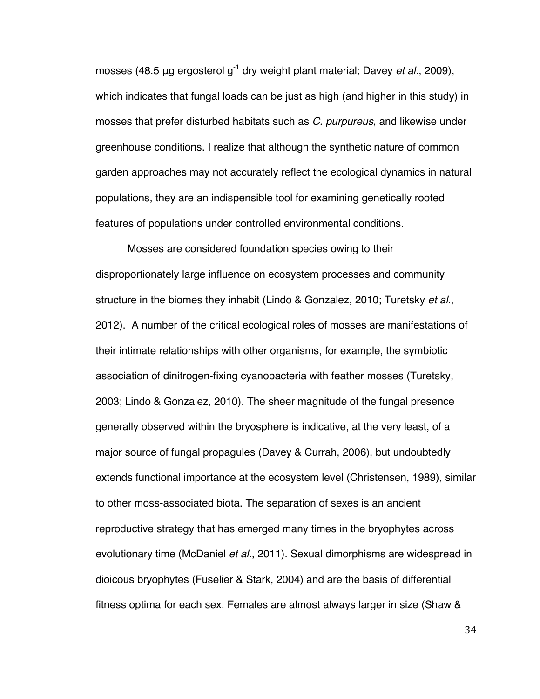mosses (48.5 μg ergosterol g<sup>-1</sup> dry weight plant material; Davey *et al.*, 2009), which indicates that fungal loads can be just as high (and higher in this study) in mosses that prefer disturbed habitats such as *C. purpureus*, and likewise under greenhouse conditions. I realize that although the synthetic nature of common garden approaches may not accurately reflect the ecological dynamics in natural populations, they are an indispensible tool for examining genetically rooted features of populations under controlled environmental conditions.

Mosses are considered foundation species owing to their disproportionately large influence on ecosystem processes and community structure in the biomes they inhabit (Lindo & Gonzalez, 2010; Turetsky *et al.*, 2012). A number of the critical ecological roles of mosses are manifestations of their intimate relationships with other organisms, for example, the symbiotic association of dinitrogen-fixing cyanobacteria with feather mosses (Turetsky, 2003; Lindo & Gonzalez, 2010). The sheer magnitude of the fungal presence generally observed within the bryosphere is indicative, at the very least, of a major source of fungal propagules (Davey & Currah, 2006), but undoubtedly extends functional importance at the ecosystem level (Christensen, 1989), similar to other moss-associated biota. The separation of sexes is an ancient reproductive strategy that has emerged many times in the bryophytes across evolutionary time (McDaniel *et al.*, 2011). Sexual dimorphisms are widespread in dioicous bryophytes (Fuselier & Stark, 2004) and are the basis of differential fitness optima for each sex. Females are almost always larger in size (Shaw &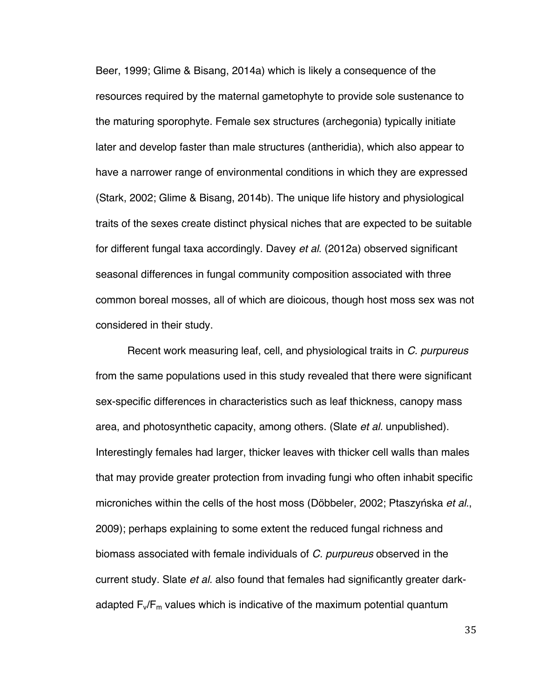Beer, 1999; Glime & Bisang, 2014a) which is likely a consequence of the resources required by the maternal gametophyte to provide sole sustenance to the maturing sporophyte. Female sex structures (archegonia) typically initiate later and develop faster than male structures (antheridia), which also appear to have a narrower range of environmental conditions in which they are expressed (Stark, 2002; Glime & Bisang, 2014b). The unique life history and physiological traits of the sexes create distinct physical niches that are expected to be suitable for different fungal taxa accordingly. Davey *et al*. (2012a) observed significant seasonal differences in fungal community composition associated with three common boreal mosses, all of which are dioicous, though host moss sex was not considered in their study.

Recent work measuring leaf, cell, and physiological traits in *C. purpureus*  from the same populations used in this study revealed that there were significant sex-specific differences in characteristics such as leaf thickness, canopy mass area, and photosynthetic capacity, among others. (Slate *et al.* unpublished). Interestingly females had larger, thicker leaves with thicker cell walls than males that may provide greater protection from invading fungi who often inhabit specific microniches within the cells of the host moss (Döbbeler, 2002; Ptaszyńska *et al.*, 2009); perhaps explaining to some extent the reduced fungal richness and biomass associated with female individuals of *C. purpureus* observed in the current study. Slate *et al.* also found that females had significantly greater darkadapted  $F_v/F_m$  values which is indicative of the maximum potential quantum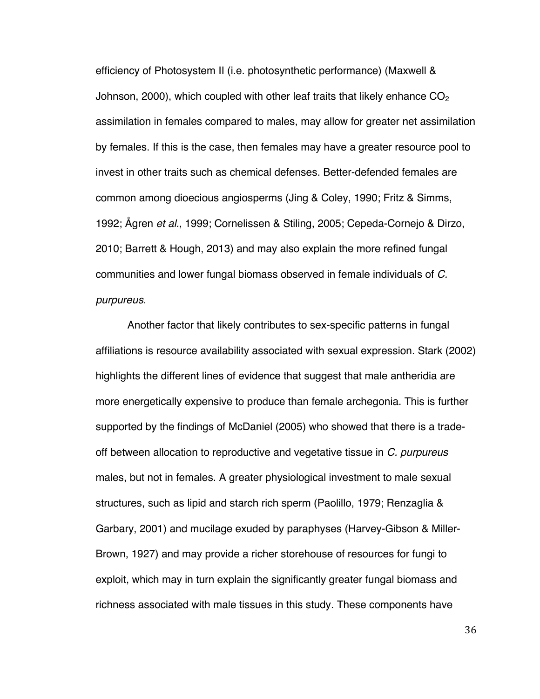efficiency of Photosystem II (i.e. photosynthetic performance) (Maxwell & Johnson, 2000), which coupled with other leaf traits that likely enhance  $CO<sub>2</sub>$ assimilation in females compared to males, may allow for greater net assimilation by females. If this is the case, then females may have a greater resource pool to invest in other traits such as chemical defenses. Better-defended females are common among dioecious angiosperms (Jing & Coley, 1990; Fritz & Simms, 1992; Ågren *et al.*, 1999; Cornelissen & Stiling, 2005; Cepeda-Cornejo & Dirzo, 2010; Barrett & Hough, 2013) and may also explain the more refined fungal communities and lower fungal biomass observed in female individuals of *C. purpureus*.

Another factor that likely contributes to sex-specific patterns in fungal affiliations is resource availability associated with sexual expression. Stark (2002) highlights the different lines of evidence that suggest that male antheridia are more energetically expensive to produce than female archegonia. This is further supported by the findings of McDaniel (2005) who showed that there is a tradeoff between allocation to reproductive and vegetative tissue in *C. purpureus* males, but not in females. A greater physiological investment to male sexual structures, such as lipid and starch rich sperm (Paolillo, 1979; Renzaglia & Garbary, 2001) and mucilage exuded by paraphyses (Harvey-Gibson & Miller-Brown, 1927) and may provide a richer storehouse of resources for fungi to exploit, which may in turn explain the significantly greater fungal biomass and richness associated with male tissues in this study. These components have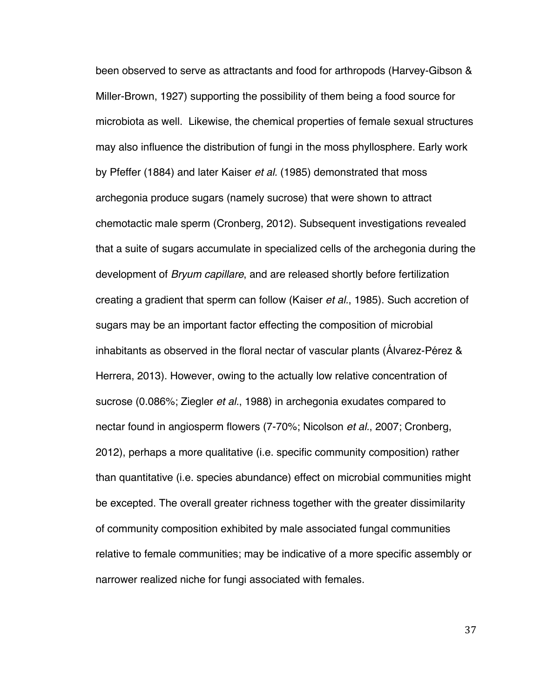been observed to serve as attractants and food for arthropods (Harvey-Gibson & Miller-Brown, 1927) supporting the possibility of them being a food source for microbiota as well. Likewise, the chemical properties of female sexual structures may also influence the distribution of fungi in the moss phyllosphere. Early work by Pfeffer (1884) and later Kaiser *et al.* (1985) demonstrated that moss archegonia produce sugars (namely sucrose) that were shown to attract chemotactic male sperm (Cronberg, 2012). Subsequent investigations revealed that a suite of sugars accumulate in specialized cells of the archegonia during the development of *Bryum capillare*, and are released shortly before fertilization creating a gradient that sperm can follow (Kaiser *et al.*, 1985). Such accretion of sugars may be an important factor effecting the composition of microbial inhabitants as observed in the floral nectar of vascular plants (Álvarez-Pérez & Herrera, 2013). However, owing to the actually low relative concentration of sucrose (0.086%; Ziegler *et al.*, 1988) in archegonia exudates compared to nectar found in angiosperm flowers (7-70%; Nicolson *et al.*, 2007; Cronberg, 2012), perhaps a more qualitative (i.e. specific community composition) rather than quantitative (i.e. species abundance) effect on microbial communities might be excepted. The overall greater richness together with the greater dissimilarity of community composition exhibited by male associated fungal communities relative to female communities; may be indicative of a more specific assembly or narrower realized niche for fungi associated with females.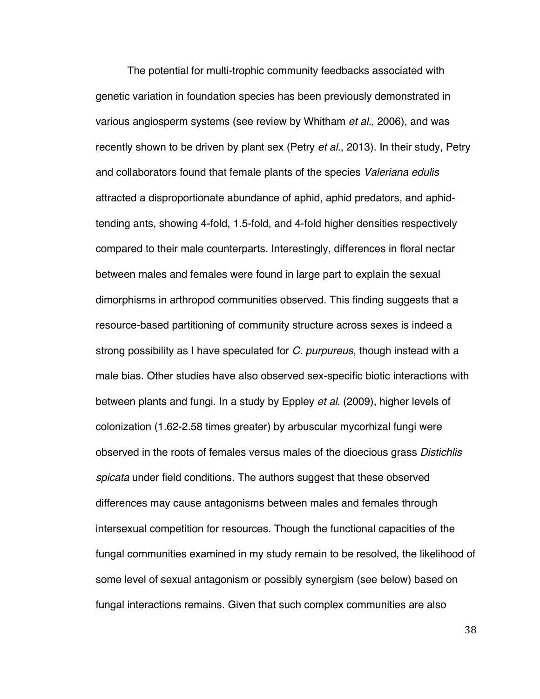The potential for multi-trophic community feedbacks associated with genetic variation in foundation species has been previously demonstrated in various angiosperm systems (see review by Whitham *et al.*, 2006), and was recently shown to be driven by plant sex (Petry *et al.*, 2013). In their study, Petry and collaborators found that female plants of the species *Valeriana edulis*  attracted a disproportionate abundance of aphid, aphid predators, and aphidtending ants, showing 4-fold, 1.5-fold, and 4-fold higher densities respectively compared to their male counterparts. Interestingly, differences in floral nectar between males and females were found in large part to explain the sexual dimorphisms in arthropod communities observed. This finding suggests that a resource-based partitioning of community structure across sexes is indeed a strong possibility as I have speculated for *C. purpureus*, though instead with a male bias. Other studies have also observed sex-specific biotic interactions with between plants and fungi. In a study by Eppley *et al.* (2009), higher levels of colonization (1.62-2.58 times greater) by arbuscular mycorhizal fungi were observed in the roots of females versus males of the dioecious grass *Distichlis spicata* under field conditions. The authors suggest that these observed differences may cause antagonisms between males and females through intersexual competition for resources. Though the functional capacities of the fungal communities examined in my study remain to be resolved, the likelihood of some level of sexual antagonism or possibly synergism (see below) based on fungal interactions remains. Given that such complex communities are also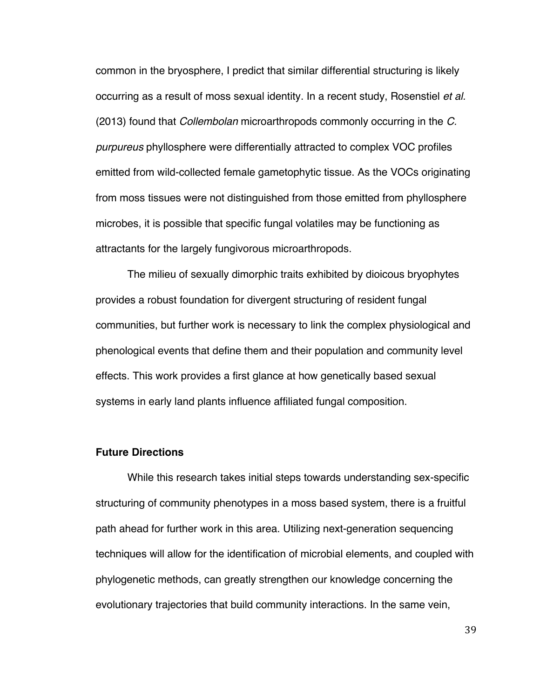common in the bryosphere, I predict that similar differential structuring is likely occurring as a result of moss sexual identity. In a recent study, Rosenstiel *et al.* (2013) found that *Collembolan* microarthropods commonly occurring in the *C. purpureus* phyllosphere were differentially attracted to complex VOC profiles emitted from wild-collected female gametophytic tissue. As the VOCs originating from moss tissues were not distinguished from those emitted from phyllosphere microbes, it is possible that specific fungal volatiles may be functioning as attractants for the largely fungivorous microarthropods.

The milieu of sexually dimorphic traits exhibited by dioicous bryophytes provides a robust foundation for divergent structuring of resident fungal communities, but further work is necessary to link the complex physiological and phenological events that define them and their population and community level effects. This work provides a first glance at how genetically based sexual systems in early land plants influence affiliated fungal composition.

## **Future Directions**

While this research takes initial steps towards understanding sex-specific structuring of community phenotypes in a moss based system, there is a fruitful path ahead for further work in this area. Utilizing next-generation sequencing techniques will allow for the identification of microbial elements, and coupled with phylogenetic methods, can greatly strengthen our knowledge concerning the evolutionary trajectories that build community interactions. In the same vein,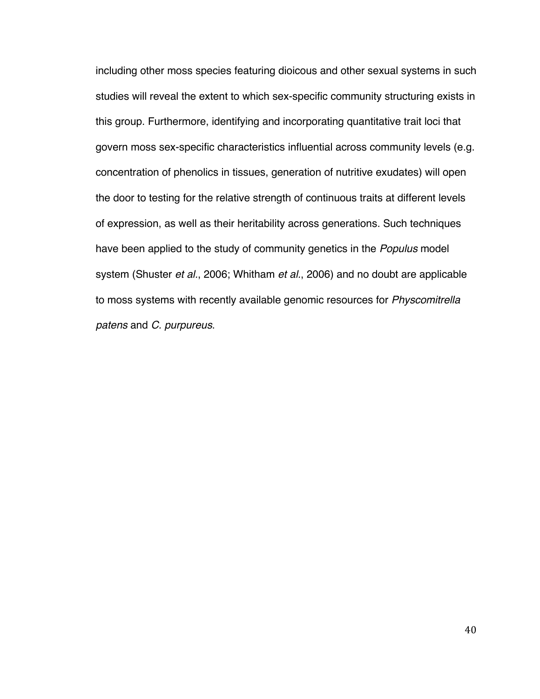including other moss species featuring dioicous and other sexual systems in such studies will reveal the extent to which sex-specific community structuring exists in this group. Furthermore, identifying and incorporating quantitative trait loci that govern moss sex-specific characteristics influential across community levels (e.g. concentration of phenolics in tissues, generation of nutritive exudates) will open the door to testing for the relative strength of continuous traits at different levels of expression, as well as their heritability across generations. Such techniques have been applied to the study of community genetics in the *Populus* model system (Shuster *et al.*, 2006; Whitham *et al.*, 2006) and no doubt are applicable to moss systems with recently available genomic resources for *Physcomitrella patens* and *C. purpureus*.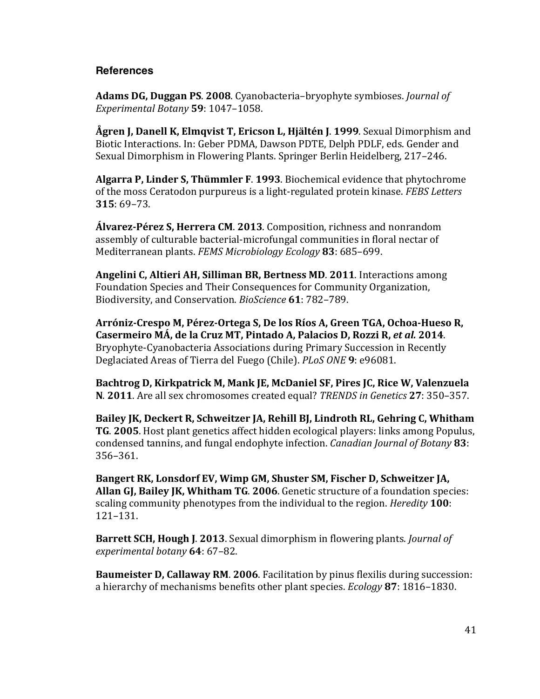## **References**

**Adams DG, Duggan PS. 2008.** Cyanobacteria–bryophyte symbioses. *Journal of Experimental Botany* **59**: 1047–1058.

**Ågren J, Danell K, Elmqvist T, Ericson L, Hjältén J. 1999. Sexual Dimorphism and** Biotic Interactions. In: Geber PDMA, Dawson PDTE, Delph PDLF, eds. Gender and Sexual Dimorphism in Flowering Plants. Springer Berlin Heidelberg, 217–246.

**Algarra P, Linder S, Thümmler F. 1993.** Biochemical evidence that phytochrome of the moss Ceratodon purpureus is a light-regulated protein kinase. *FEBS Letters* **315**: 69–73.

**Álvarez-Pérez S, Herrera CM. 2013.** Composition, richness and nonrandom assembly of culturable bacterial-microfungal communities in floral nectar of Mediterranean plants. *FEMS Microbiology Ecology* 83: 685–699.

**Angelini C, Altieri AH, Silliman BR, Bertness MD. 2011.** Interactions among Foundation Species and Their Consequences for Community Organization, Biodiversity, and Conservation. *BioScience* 61: 782–789.

Arróniz-Crespo M, Pérez-Ortega S, De los Ríos A, Green TGA, Ochoa-Hueso R, Casermeiro MÁ, de la Cruz MT, Pintado A, Palacios D, Rozzi R, et al. 2014. Bryophyte-Cyanobacteria Associations during Primary Succession in Recently Deglaciated Areas of Tierra del Fuego (Chile). *PLoS ONE* **9**: e96081.

Bachtrog D, Kirkpatrick M, Mank JE, McDaniel SF, Pires JC, Rice W, Valenzuela **N. 2011.** Are all sex chromosomes created equal? *TRENDS in Genetics* 27: 350–357.

Bailey JK, Deckert R, Schweitzer JA, Rehill BJ, Lindroth RL, Gehring C, Whitham **TG.** 2005. Host plant genetics affect hidden ecological players: links among Populus, condensed tannins, and fungal endophyte infection. *Canadian Journal of Botany* 83: 356–361.

Bangert RK, Lonsdorf EV, Wimp GM, Shuster SM, Fischer D, Schweitzer JA, **Allan GI, Bailey JK, Whitham TG. 2006.** Genetic structure of a foundation species: scaling community phenotypes from the individual to the region. *Heredity* **100**: 121–131.

**Barrett SCH, Hough J. 2013.** Sexual dimorphism in flowering plants. *Journal of experimental botany* **64**: 67–82.

**Baumeister D, Callaway RM. 2006.** Facilitation by pinus flexilis during succession: a hierarchy of mechanisms benefits other plant species. *Ecology* 87: 1816–1830.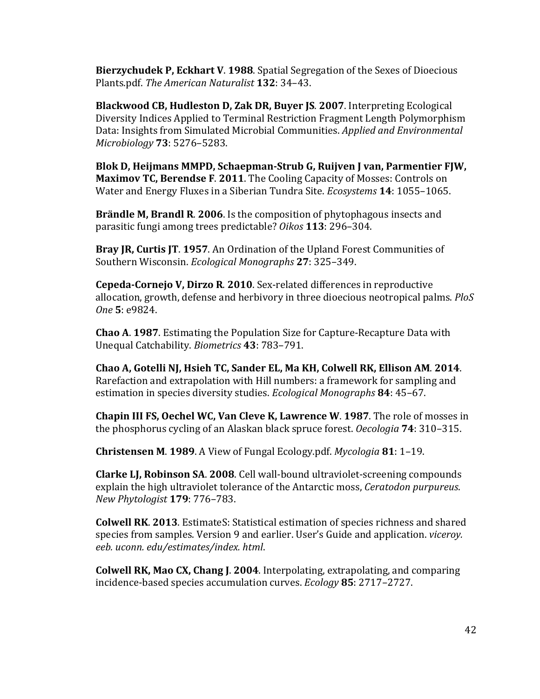**Bierzychudek P, Eckhart V. 1988.** Spatial Segregation of the Sexes of Dioecious Plants.pdf. The American Naturalist 132: 34-43.

**Blackwood CB, Hudleston D, Zak DR, Buyer JS. 2007.** Interpreting Ecological Diversity Indices Applied to Terminal Restriction Fragment Length Polymorphism Data: Insights from Simulated Microbial Communities. *Applied and Environmental Microbiology* **73**: 5276–5283.

**Blok D, Heijmans MMPD, Schaepman-Strub G, Ruijven J van, Parmentier FJW, Maximov TC, Berendse F. 2011.** The Cooling Capacity of Mosses: Controls on Water and Energy Fluxes in a Siberian Tundra Site. *Ecosystems* **14**: 1055–1065.

**Brändle M, Brandl R. 2006.** Is the composition of phytophagous insects and parasitic fungi among trees predictable? *Oikos* 113: 296-304.

**Bray JR, Curtis JT. 1957.** An Ordination of the Upland Forest Communities of Southern Wisconsin. *Ecological Monographs* 27: 325-349.

**Cepeda-Cornejo V, Dirzo R. 2010.** Sex-related differences in reproductive allocation, growth, defense and herbivory in three dioecious neotropical palms. *PloS One* **5**: e9824.

**Chao A. 1987.** Estimating the Population Size for Capture-Recapture Data with Unequal Catchability. *Biometrics* **43**: 783–791.

**Chao A, Gotelli NJ, Hsieh TC, Sander EL, Ma KH, Colwell RK, Ellison AM**. **2014**. Rarefaction and extrapolation with Hill numbers: a framework for sampling and estimation in species diversity studies. *Ecological Monographs* 84: 45-67.

**Chapin III FS, Oechel WC, Van Cleve K, Lawrence W. 1987.** The role of mosses in the phosphorus cycling of an Alaskan black spruce forest. *Oecologia* **74**: 310–315.

**Christensen M. 1989.** A View of Fungal Ecology.pdf. *Mycologia* 81: 1-19.

**Clarke LJ, Robinson SA. 2008.** Cell wall-bound ultraviolet-screening compounds explain the high ultraviolet tolerance of the Antarctic moss, *Ceratodon purpureus*. *New Phytologist* **179**: 776–783.

**Colwell RK. 2013.** EstimateS: Statistical estimation of species richness and shared species from samples. Version 9 and earlier. User's Guide and application. *viceroy. eeb. uconn. edu/estimates/index. html*.

**Colwell RK, Mao CX, Chang J. 2004.** Interpolating, extrapolating, and comparing incidence-based species accumulation curves. *Ecology* **85**: 2717–2727.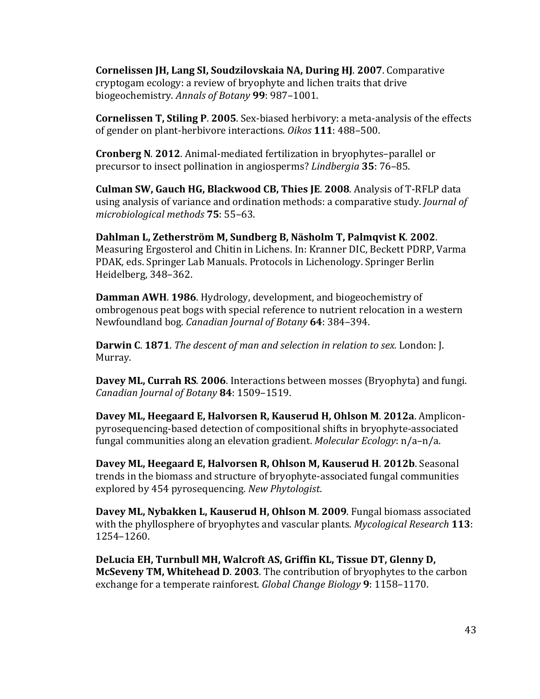**Cornelissen JH, Lang SI, Soudzilovskaia NA, During HJ. 2007. Comparative** cryptogam ecology: a review of bryophyte and lichen traits that drive biogeochemistry. *Annals of Botany* **99**: 987–1001.

**Cornelissen T, Stiling P. 2005.** Sex-biased herbivory: a meta-analysis of the effects of gender on plant-herbivore interactions. *Oikos* 111: 488–500.

**Cronberg N. 2012.** Animal-mediated fertilization in bryophytes–parallel or precursor to insect pollination in angiosperms? *Lindbergia* 35: 76-85.

**Culman SW, Gauch HG, Blackwood CB, Thies JE. 2008. Analysis of T-RFLP data** using analysis of variance and ordination methods: a comparative study. *Journal of microbiological methods* **75**: 55–63.

**Dahlman L, Zetherström M, Sundberg B, Näsholm T, Palmqvist K. 2002.** Measuring Ergosterol and Chitin in Lichens. In: Kranner DIC, Beckett PDRP, Varma PDAK, eds. Springer Lab Manuals. Protocols in Lichenology. Springer Berlin Heidelberg, 348–362.

**Damman AWH. 1986.** Hydrology, development, and biogeochemistry of ombrogenous peat bogs with special reference to nutrient relocation in a western Newfoundland bog. *Canadian Journal of Botany* **64**: 384–394.

**Darwin C. 1871.** *The descent of man and selection in relation to sex.* London: [. Murray.

**Davey ML, Currah RS. 2006.** Interactions between mosses (Bryophyta) and fungi. *Canadian Journal of Botany* **84**: 1509–1519.

**Davey ML, Heegaard E, Halvorsen R, Kauserud H, Ohlson M. 2012a.** Ampliconpyrosequencing-based detection of compositional shifts in bryophyte-associated fungal communities along an elevation gradient. *Molecular Ecology*: n/a-n/a.

**Davey ML, Heegaard E, Halvorsen R, Ohlson M, Kauserud H. 2012b.** Seasonal trends in the biomass and structure of bryophyte-associated fungal communities explored by 454 pyrosequencing. *New Phytologist.* 

**Davey ML, Nybakken L, Kauserud H, Ohlson M. 2009. Fungal biomass associated** with the phyllosphere of bryophytes and vascular plants. *Mycological Research* 113: 1254–1260.

**DeLucia EH, Turnbull MH, Walcroft AS, Griffin KL, Tissue DT, Glenny D, McSeveny TM, Whitehead D. 2003.** The contribution of bryophytes to the carbon exchange for a temperate rainforest. *Global Change Biology* 9: 1158–1170.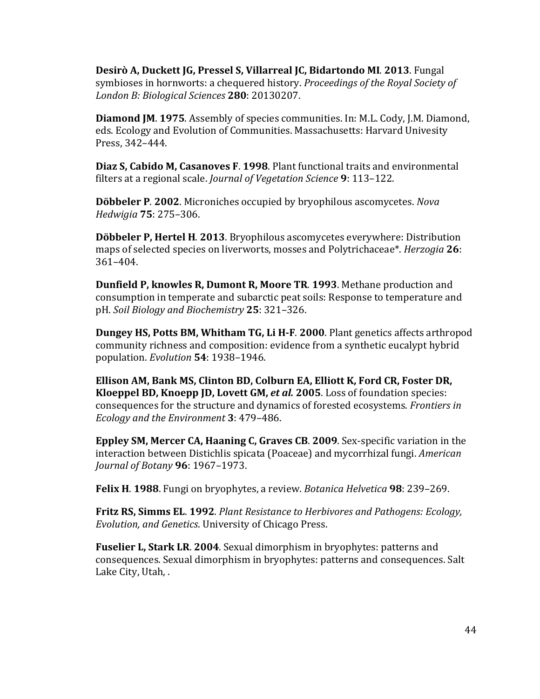**Desirò A, Duckett JG, Pressel S, Villarreal JC, Bidartondo MI. 2013.** Fungal symbioses in hornworts: a chequered history. *Proceedings of the Royal Society of London B: Biological Sciences* **280**: 20130207.

**Diamond JM. 1975.** Assembly of species communities. In: M.L. Cody, J.M. Diamond, eds. Ecology and Evolution of Communities. Massachusetts: Harvard Univesity Press, 342-444.

**Diaz S, Cabido M, Casanoves F. 1998.** Plant functional traits and environmental filters at a regional scale. *Journal of Vegetation Science* 9: 113–122.

**Döbbeler P. 2002.** Microniches occupied by bryophilous ascomycetes. *Nova Hedwigia* **75**: 275–306.

**Döbbeler P, Hertel H. 2013.** Bryophilous ascomycetes everywhere: Distribution maps of selected species on liverworts, mosses and Polytrichaceae\*. *Herzogia* 26: 361–404.

**Dunfield P, knowles R, Dumont R, Moore TR. 1993. Methane production and** consumption in temperate and subarctic peat soils: Response to temperature and pH. *Soil Biology and Biochemistry* **25**: 321–326.

**Dungey HS, Potts BM, Whitham TG, Li H-F. 2000. Plant genetics affects arthropod** community richness and composition: evidence from a synthetic eucalypt hybrid population. *Evolution* **54**: 1938–1946.

**Ellison AM, Bank MS, Clinton BD, Colburn EA, Elliott K, Ford CR, Foster DR, Kloeppel BD, Knoepp JD, Lovett GM,** *et al.* **2005**. Loss of foundation species: consequences for the structure and dynamics of forested ecosystems. *Frontiers in Ecology and the Environment* 3: 479-486.

**Eppley SM, Mercer CA, Haaning C, Graves CB. 2009.** Sex-specific variation in the interaction between Distichlis spicata (Poaceae) and mycorrhizal fungi. *American Journal of Botany* **96**: 1967–1973.

**Felix H. 1988.** Fungi on bryophytes, a review. *Botanica Helvetica* 98: 239-269.

**Fritz RS, Simms EL. 1992.** *Plant Resistance to Herbivores and Pathogens: Ecology, Evolution, and Genetics*. University of Chicago Press.

**Fuselier L, Stark LR. 2004.** Sexual dimorphism in bryophytes: patterns and consequences. Sexual dimorphism in bryophytes: patterns and consequences. Salt Lake City, Utah, .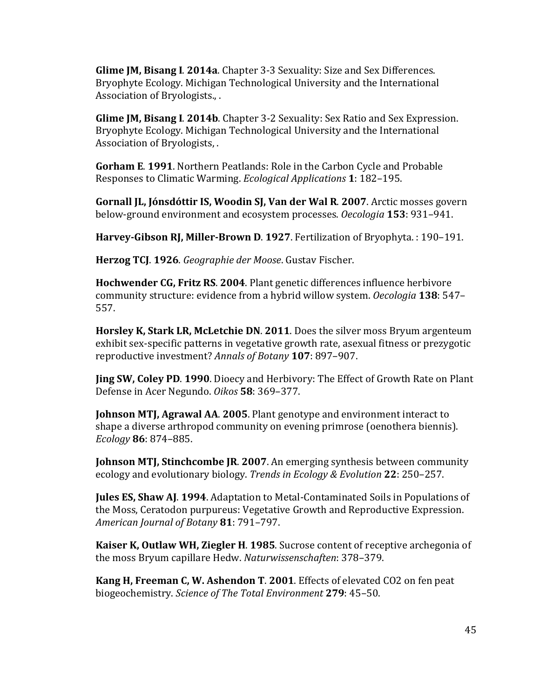**Glime JM, Bisang I. 2014a.** Chapter 3-3 Sexuality: Size and Sex Differences. Bryophyte Ecology. Michigan Technological University and the International Association of Bryologists., .

**Glime JM, Bisang I. 2014b.** Chapter 3-2 Sexuality: Sex Ratio and Sex Expression. Bryophyte Ecology. Michigan Technological University and the International Association of Bryologists, .

**Gorham E. 1991.** Northern Peatlands: Role in the Carbon Cycle and Probable Responses to Climatic Warming. *Ecological Applications* 1: 182–195.

**Gornall JL, Jónsdóttir IS, Woodin SJ, Van der Wal R. 2007.** Arctic mosses govern below-ground environment and ecosystem processes. *Oecologia* **153**: 931–941.

**Harvey-Gibson RJ, Miller-Brown D. 1927.** Fertilization of Bryophyta. : 190-191.

**Herzog TCJ. 1926.** *Geographie der Moose*. Gustav Fischer.

**Hochwender CG, Fritz RS. 2004.** Plant genetic differences influence herbivore community structure: evidence from a hybrid willow system. *Oecologia* 138: 547– 557.

**Horsley K, Stark LR, McLetchie DN. 2011.** Does the silver moss Bryum argenteum exhibit sex-specific patterns in vegetative growth rate, asexual fitness or prezygotic reproductive investment? *Annals of Botany* **107**: 897-907.

**Jing SW, Coley PD. 1990.** Dioecy and Herbivory: The Effect of Growth Rate on Plant Defense in Acer Negundo. *Oikos* 58: 369-377.

**Johnson MTJ, Agrawal AA. 2005.** Plant genotype and environment interact to shape a diverse arthropod community on evening primrose (oenothera biennis). *Ecology* **86**: 874–885.

**Johnson MTJ, Stinchcombe JR. 2007.** An emerging synthesis between community ecology and evolutionary biology. *Trends in Ecology & Evolution* **22**: 250–257.

**Jules ES, Shaw AJ. 1994.** Adaptation to Metal-Contaminated Soils in Populations of the Moss, Ceratodon purpureus: Vegetative Growth and Reproductive Expression. *American Journal of Botany* **81**: 791–797.

**Kaiser K, Outlaw WH, Ziegler H. 1985.** Sucrose content of receptive archegonia of the moss Bryum capillare Hedw. *Naturwissenschaften*: 378-379.

**Kang H, Freeman C, W. Ashendon T. 2001.** Effects of elevated CO2 on fen peat biogeochemistry. *Science of The Total Environment* **279**: 45–50.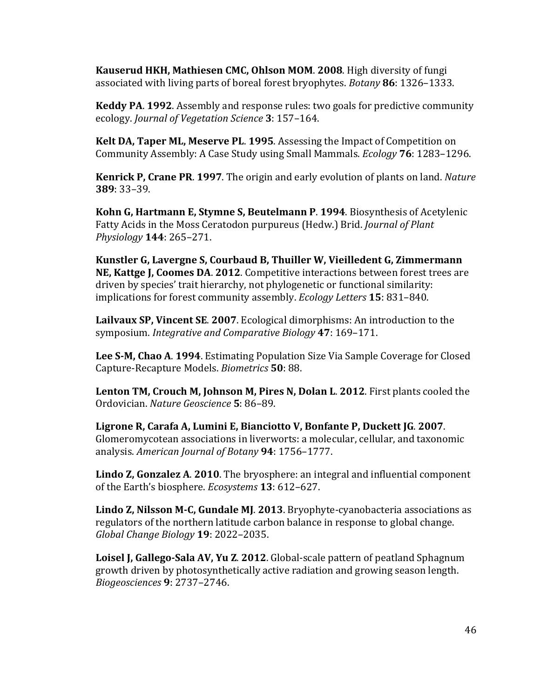**Kauserud HKH, Mathiesen CMC, Ohlson MOM. 2008. High diversity of fungi** associated with living parts of boreal forest bryophytes. *Botany* 86: 1326–1333.

**Keddy PA. 1992.** Assembly and response rules: two goals for predictive community ecology. *Journal of Vegetation Science* **3**: 157–164.

**Kelt DA, Taper ML, Meserve PL. 1995.** Assessing the Impact of Competition on Community Assembly: A Case Study using Small Mammals. *Ecology* **76**: 1283–1296.

**Kenrick P, Crane PR. 1997.** The origin and early evolution of plants on land. *Nature* **389**: 33–39.

**Kohn G, Hartmann E, Stymne S, Beutelmann P. 1994.** Biosynthesis of Acetylenic Fatty Acids in the Moss Ceratodon purpureus (Hedw.) Brid. *Journal of Plant Physiology* **144**: 265–271.

**Kunstler G, Lavergne S, Courbaud B, Thuiller W, Vieilledent G, Zimmermann NE, Kattge J, Coomes DA. 2012.** Competitive interactions between forest trees are driven by species' trait hierarchy, not phylogenetic or functional similarity: implications for forest community assembly. *Ecology Letters* **15**: 831–840.

Lailvaux SP, Vincent SE. 2007. Ecological dimorphisms: An introduction to the symposium. *Integrative and Comparative Biology* 47: 169-171.

**Lee S-M, Chao A. 1994.** Estimating Population Size Via Sample Coverage for Closed Capture-Recapture Models. *Biometrics* **50**: 88.

**Lenton TM, Crouch M, Johnson M, Pires N, Dolan L. 2012.** First plants cooled the Ordovician. *Nature Geoscience* **5**: 86–89.

Ligrone R, Carafa A, Lumini E, Bianciotto V, Bonfante P, Duckett JG. 2007. Glomeromycotean associations in liverworts: a molecular, cellular, and taxonomic analysis. *American Journal of Botany* **94**: 1756–1777.

**Lindo Z, Gonzalez A. 2010.** The bryosphere: an integral and influential component of the Earth's biosphere. *Ecosystems* 13: 612–627.

**Lindo Z, Nilsson M-C, Gundale MJ. 2013.** Bryophyte-cyanobacteria associations as regulators of the northern latitude carbon balance in response to global change. *Global Change Biology* **19**: 2022–2035.

**Loisel J, Gallego-Sala AV, Yu Z. 2012.** Global-scale pattern of peatland Sphagnum growth driven by photosynthetically active radiation and growing season length. *Biogeosciences* **9**: 2737–2746.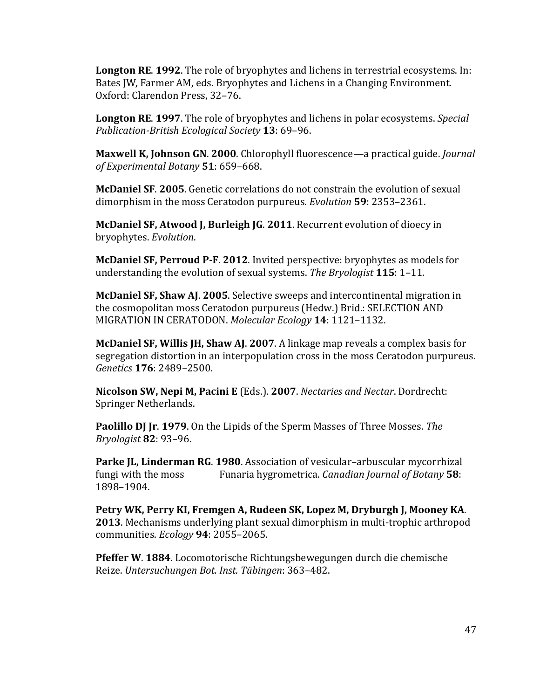**Longton RE. 1992.** The role of bryophytes and lichens in terrestrial ecosystems. In: Bates JW, Farmer AM, eds. Bryophytes and Lichens in a Changing Environment. Oxford: Clarendon Press, 32-76.

**Longton RE. 1997.** The role of bryophytes and lichens in polar ecosystems. *Special Publication-British Ecological Society* **13**: 69–96.

**Maxwell K, Johnson GN. 2000.** Chlorophyll fluorescence—a practical guide. *Journal of Experimental Botany* **51**: 659–668.

**McDaniel SF. 2005.** Genetic correlations do not constrain the evolution of sexual dimorphism in the moss Ceratodon purpureus. *Evolution* **59**: 2353–2361.

**McDaniel SF, Atwood J, Burleigh JG. 2011.** Recurrent evolution of dioecy in bryophytes. *Evolution*.

**McDaniel SF, Perroud P-F. 2012.** Invited perspective: bryophytes as models for understanding the evolution of sexual systems. The Bryologist **115**: 1-11.

**McDaniel SF, Shaw AJ. 2005.** Selective sweeps and intercontinental migration in the cosmopolitan moss Ceratodon purpureus (Hedw.) Brid.: SELECTION AND MIGRATION IN CERATODON. Molecular Ecology 14: 1121-1132.

**McDaniel SF, Willis JH, Shaw AJ. 2007.** A linkage map reveals a complex basis for segregation distortion in an interpopulation cross in the moss Ceratodon purpureus. *Genetics* **176**: 2489–2500.

**Nicolson SW, Nepi M, Pacini E** (Eds.). **2007**. *Nectaries and Nectar*. Dordrecht: Springer Netherlands.

**Paolillo DJ Jr. 1979.** On the Lipids of the Sperm Masses of Three Mosses. The *Bryologist* **82**: 93–96.

**Parke IL, Linderman RG. 1980.** Association of vesicular–arbuscular mycorrhizal fungi with the moss Funaria hygrometrica. *Canadian Journal of Botany* **58**: 1898–1904.

Petry WK, Perry KI, Fremgen A, Rudeen SK, Lopez M, Dryburgh J, Mooney KA. **2013**. Mechanisms underlying plant sexual dimorphism in multi-trophic arthropod communities. *Ecology* **94**: 2055–2065.

**Pfeffer W. 1884.** Locomotorische Richtungsbewegungen durch die chemische Reize. *Untersuchungen Bot. Inst. Tübingen*: 363–482.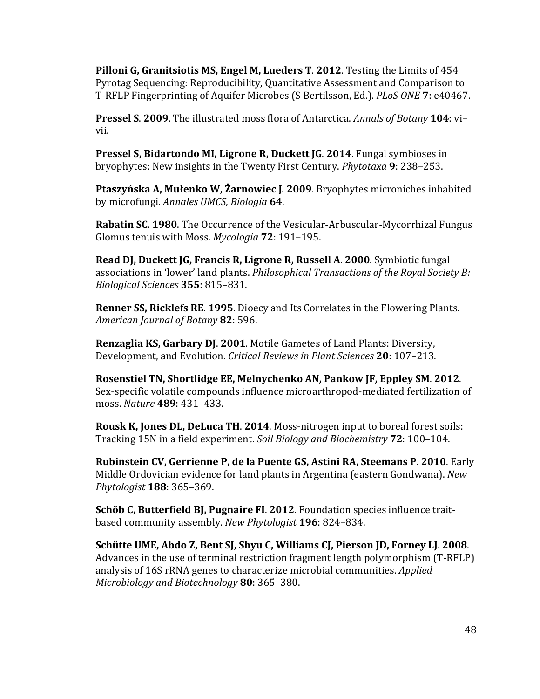**Pilloni G, Granitsiotis MS, Engel M, Lueders T. 2012.** Testing the Limits of 454 Pyrotag Sequencing: Reproducibility, Quantitative Assessment and Comparison to T-RFLP Fingerprinting of Aquifer Microbes (S Bertilsson, Ed.). *PLoS ONE* **7**: e40467.

**Pressel S. 2009.** The illustrated moss flora of Antarctica. *Annals of Botany* 104: vi– vii.

**Pressel S, Bidartondo MI, Ligrone R, Duckett JG. 2014.** Fungal symbioses in bryophytes: New insights in the Twenty First Century. *Phytotaxa* **9**: 238–253.

Ptaszyńska A, Mułenko W, Żarnowiec J. 2009. Bryophytes microniches inhabited by microfungi. *Annales UMCS, Biologia* **64**.

**Rabatin SC. 1980.** The Occurrence of the Vesicular-Arbuscular-Mycorrhizal Fungus Glomus tenuis with Moss. Mycologia 72: 191-195.

**Read DJ, Duckett JG, Francis R, Ligrone R, Russell A. 2000. Symbiotic fungal** associations in 'lower' land plants. *Philosophical Transactions of the Royal Society B: Biological Sciences* **355**: 815–831.

**Renner SS, Ricklefs RE. 1995.** Dioecy and Its Correlates in the Flowering Plants. *American Journal of Botany* **82**: 596.

**Renzaglia KS, Garbary DJ. 2001.** Motile Gametes of Land Plants: Diversity, Development, and Evolution. *Critical Reviews in Plant Sciences* **20**: 107–213.

Rosenstiel TN, Shortlidge EE, Melnychenko AN, Pankow JF, Eppley SM. 2012. Sex-specific volatile compounds influence microarthropod-mediated fertilization of moss. *Nature* **489**: 431–433.

**Rousk K, Jones DL, DeLuca TH. 2014.** Moss-nitrogen input to boreal forest soils: Tracking 15N in a field experiment. *Soil Biology and Biochemistry* **72**: 100–104.

**Rubinstein CV, Gerrienne P, de la Puente GS, Astini RA, Steemans P. 2010.** Early Middle Ordovician evidence for land plants in Argentina (eastern Gondwana). *New Phytologist* **188**: 365–369.

**Schöb C, Butterfield BJ, Pugnaire FI. 2012.** Foundation species influence traitbased community assembly. New Phytologist 196: 824-834.

**Schütte UME, Abdo Z, Bent SJ, Shyu C, Williams CJ, Pierson JD, Forney LJ. 2008.** Advances in the use of terminal restriction fragment length polymorphism (T-RFLP) analysis of 16S rRNA genes to characterize microbial communities. *Applied Microbiology and Biotechnology* **80**: 365–380.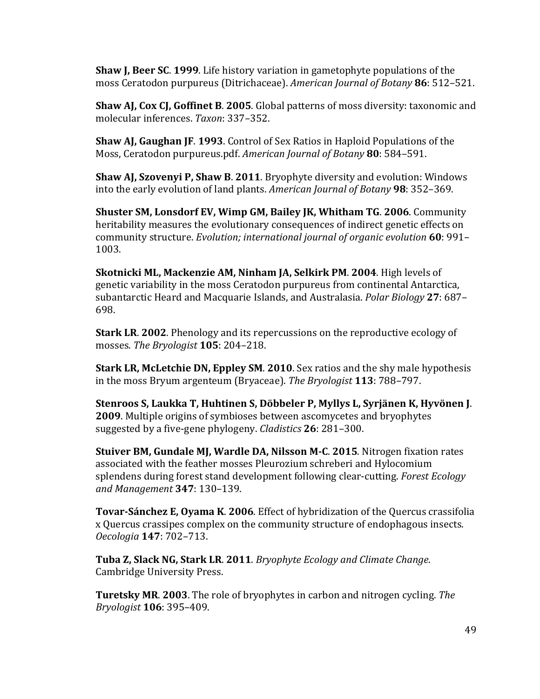**Shaw I, Beer SC. 1999.** Life history variation in gametophyte populations of the moss Ceratodon purpureus (Ditrichaceae). *American Journal of Botany* 86: 512–521.

**Shaw AJ, Cox CJ, Goffinet B. 2005.** Global patterns of moss diversity: taxonomic and molecular inferences. *Taxon*: 337–352.

**Shaw AJ, Gaughan JF. 1993.** Control of Sex Ratios in Haploid Populations of the Moss, Ceratodon purpureus.pdf. *American Journal of Botany* 80: 584–591.

**Shaw AJ, Szovenyi P, Shaw B. 2011.** Bryophyte diversity and evolution: Windows into the early evolution of land plants. *American Journal of Botany* 98: 352–369.

**Shuster SM, Lonsdorf EV, Wimp GM, Bailey JK, Whitham TG. 2006.** Community heritability measures the evolutionary consequences of indirect genetic effects on community structure. *Evolution;* international journal of organic evolution 60: 991-1003.

**Skotnicki ML, Mackenzie AM, Ninham JA, Selkirk PM. 2004.** High levels of genetic variability in the moss Ceratodon purpureus from continental Antarctica, subantarctic Heard and Macquarie Islands, and Australasia. *Polar Biology* 27: 687– 698.

**Stark LR. 2002.** Phenology and its repercussions on the reproductive ecology of mosses. The Bryologist **105**: 204-218.

**Stark LR, McLetchie DN, Eppley SM. 2010.** Sex ratios and the shy male hypothesis in the moss Bryum argenteum (Bryaceae). The Bryologist **113**: 788–797.

Stenroos S, Laukka T, Huhtinen S, Döbbeler P, Myllys L, Syrjänen K, Hyvönen J. **2009.** Multiple origins of symbioses between ascomycetes and bryophytes suggested by a five-gene phylogeny. *Cladistics* 26: 281–300.

**Stuiver BM, Gundale MJ, Wardle DA, Nilsson M-C. 2015. Nitrogen fixation rates** associated with the feather mosses Pleurozium schreberi and Hylocomium splendens during forest stand development following clear-cutting. *Forest Ecology and Management* **347**: 130–139.

**Tovar-Sánchez E, Ovama K. 2006.** Effect of hybridization of the Quercus crassifolia x Quercus crassipes complex on the community structure of endophagous insects. *Oecologia* **147**: 702–713.

**Tuba Z, Slack NG, Stark LR. 2011.** *Bryophyte Ecology and Climate Change.* Cambridge University Press.

**Turetsky MR. 2003.** The role of bryophytes in carbon and nitrogen cycling. The *Bryologist* **106**: 395–409.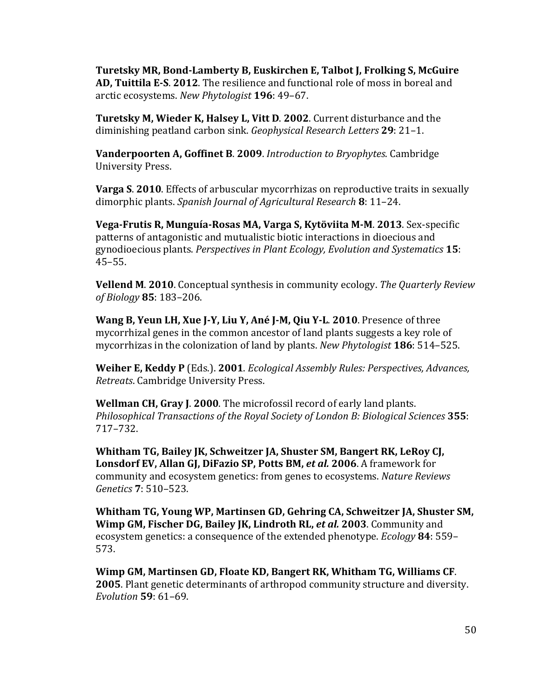**Turetsky MR, Bond-Lamberty B, Euskirchen E, Talbot J, Frolking S, McGuire** AD, Tuittila E-S. 2012. The resilience and functional role of moss in boreal and arctic ecosystems. New Phytologist 196: 49-67.

**Turetsky M, Wieder K, Halsey L, Vitt D. 2002.** Current disturbance and the diminishing peatland carbon sink. *Geophysical Research Letters* 29: 21-1.

**Vanderpoorten A, Goffinet B. 2009.** Introduction to Bryophytes. Cambridge University Press.

**Varga S. 2010.** Effects of arbuscular mycorrhizas on reproductive traits in sexually dimorphic plants. *Spanish Journal of Agricultural Research* 8: 11–24.

**Vega-Frutis R, Munguía-Rosas MA, Varga S, Kytöviita M-M. 2013. Sex-specific** patterns of antagonistic and mutualistic biotic interactions in dioecious and gynodioecious plants. *Perspectives in Plant Ecology, Evolution and Systematics* **15**: 45–55.

**Vellend M. 2010.** Conceptual synthesis in community ecology. The Quarterly Review *of Biology* **85**: 183–206.

**Wang B, Yeun LH, Xue J-Y, Liu Y, Ané J-M, Qiu Y-L. 2010. Presence of three** mycorrhizal genes in the common ancestor of land plants suggests a key role of mycorrhizas in the colonization of land by plants. *New Phytologist* **186**: 514–525.

**Weiher E, Keddy P** (Eds.). **2001**. *Ecological Assembly Rules: Perspectives, Advances, Retreats*. Cambridge University Press.

**Wellman CH, Gray J. 2000.** The microfossil record of early land plants. *Philosophical Transactions of the Royal Society of London B: Biological Sciences* **355**: 717–732.

Whitham TG, Bailey JK, Schweitzer JA, Shuster SM, Bangert RK, LeRoy CJ, **Lonsdorf EV, Allan GJ, DiFazio SP, Potts BM, et al. 2006.** A framework for community and ecosystem genetics: from genes to ecosystems. *Nature Reviews Genetics* **7**: 510–523.

Whitham TG, Young WP, Martinsen GD, Gehring CA, Schweitzer JA, Shuster SM, **Wimp GM, Fischer DG, Bailey JK, Lindroth RL, et al. 2003.** Community and ecosystem genetics: a consequence of the extended phenotype. *Ecology* 84: 559– 573.

**Wimp GM, Martinsen GD, Floate KD, Bangert RK, Whitham TG, Williams CF. 2005**. Plant genetic determinants of arthropod community structure and diversity. *Evolution* **59**: 61–69.